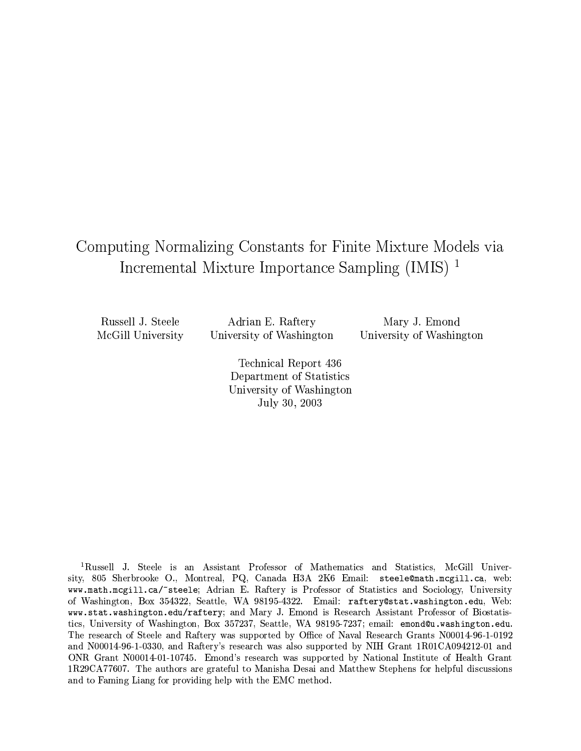## Computing Normalizing Constants for Finite Mixture Models via Incremental Mixture Importance Sampling (IMIS)<sup>1</sup>

Russell J. Steele McGill University

Adrian E. Raftery University of Washington

Mary J. Emond University of Washington

Technical Report 436 Department of Statistics University of Washington July 30, 2003

<sup>1</sup>Russell J. Steele is an Assistant Professor of Mathematics and Statistics, McGill University, 805 Sherbrooke O., Montreal, PQ, Canada H3A 2K6 Email: steele@math.mcgill.ca, web: www.math.mcgill.ca/~steele; Adrian E. Raftery is Professor of Statistics and Sociology, University of Washington, Box 354322, Seattle, WA 98195-4322. Email: raftery@stat.washington.edu, Web: www.stat.washington.edu/raftery; and Mary J. Emond is Research Assistant Professor of Biostatistics, University of Washington, Box 357237, Seattle, WA 98195-7237; email: emond@u.washington.edu. The research of Steele and Raftery was supported by Office of Naval Research Grants N00014-96-1-0192 and N00014-96-1-0330, and Raftery's research was also supported by NIH Grant 1R01CA094212-01 and ONR Grant N00014-01-10745. Emond's research was supported by National Institute of Health Grant 1R29CA77607. The authors are grateful to Manisha Desai and Matthew Stephens for helpful discussions and to Faming Liang for providing help with the EMC method.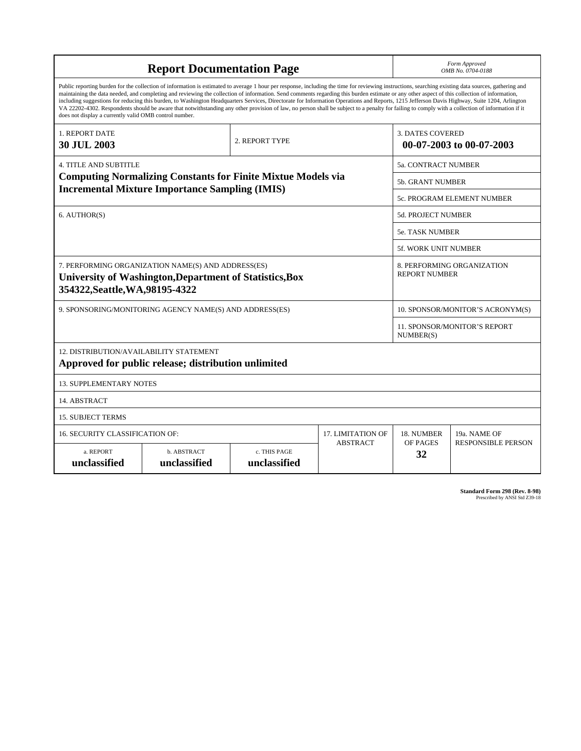|                                                                                                                                                                                                        | <b>Report Documentation Page</b>                                                                                                                                                                                                                                                                                                                                                                                                                                                                                                                                                                                                                                                                                                                                                                         | Form Approved<br>OMB No. 0704-0188 |                          |                                                     |                                  |  |
|--------------------------------------------------------------------------------------------------------------------------------------------------------------------------------------------------------|----------------------------------------------------------------------------------------------------------------------------------------------------------------------------------------------------------------------------------------------------------------------------------------------------------------------------------------------------------------------------------------------------------------------------------------------------------------------------------------------------------------------------------------------------------------------------------------------------------------------------------------------------------------------------------------------------------------------------------------------------------------------------------------------------------|------------------------------------|--------------------------|-----------------------------------------------------|----------------------------------|--|
| does not display a currently valid OMB control number.                                                                                                                                                 | Public reporting burden for the collection of information is estimated to average 1 hour per response, including the time for reviewing instructions, searching existing data sources, gathering and<br>maintaining the data needed, and completing and reviewing the collection of information. Send comments regarding this burden estimate or any other aspect of this collection of information,<br>including suggestions for reducing this burden, to Washington Headquarters Services, Directorate for Information Operations and Reports, 1215 Jefferson Davis Highway, Suite 1204, Arlington<br>VA 22202-4302. Respondents should be aware that notwithstanding any other provision of law, no person shall be subject to a penalty for failing to comply with a collection of information if it |                                    |                          |                                                     |                                  |  |
| 1. REPORT DATE<br>2. REPORT TYPE<br>30 JUL 2003                                                                                                                                                        |                                                                                                                                                                                                                                                                                                                                                                                                                                                                                                                                                                                                                                                                                                                                                                                                          |                                    |                          | <b>3. DATES COVERED</b><br>00-07-2003 to 00-07-2003 |                                  |  |
| <b>4. TITLE AND SUBTITLE</b>                                                                                                                                                                           |                                                                                                                                                                                                                                                                                                                                                                                                                                                                                                                                                                                                                                                                                                                                                                                                          |                                    |                          | <b>5a. CONTRACT NUMBER</b>                          |                                  |  |
|                                                                                                                                                                                                        | <b>Computing Normalizing Constants for Finite Mixtue Models via</b>                                                                                                                                                                                                                                                                                                                                                                                                                                                                                                                                                                                                                                                                                                                                      |                                    |                          | <b>5b. GRANT NUMBER</b>                             |                                  |  |
|                                                                                                                                                                                                        | <b>Incremental Mixture Importance Sampling (IMIS)</b>                                                                                                                                                                                                                                                                                                                                                                                                                                                                                                                                                                                                                                                                                                                                                    |                                    |                          |                                                     | 5c. PROGRAM ELEMENT NUMBER       |  |
| 6. AUTHOR(S)                                                                                                                                                                                           |                                                                                                                                                                                                                                                                                                                                                                                                                                                                                                                                                                                                                                                                                                                                                                                                          |                                    |                          | 5d. PROJECT NUMBER                                  |                                  |  |
|                                                                                                                                                                                                        |                                                                                                                                                                                                                                                                                                                                                                                                                                                                                                                                                                                                                                                                                                                                                                                                          |                                    |                          | 5e. TASK NUMBER                                     |                                  |  |
|                                                                                                                                                                                                        |                                                                                                                                                                                                                                                                                                                                                                                                                                                                                                                                                                                                                                                                                                                                                                                                          |                                    |                          | 5f. WORK UNIT NUMBER                                |                                  |  |
| 7. PERFORMING ORGANIZATION NAME(S) AND ADDRESS(ES)<br>8. PERFORMING ORGANIZATION<br><b>REPORT NUMBER</b><br>University of Washington, Department of Statistics, Box<br>354322, Seattle, WA, 98195-4322 |                                                                                                                                                                                                                                                                                                                                                                                                                                                                                                                                                                                                                                                                                                                                                                                                          |                                    |                          |                                                     |                                  |  |
|                                                                                                                                                                                                        | 9. SPONSORING/MONITORING AGENCY NAME(S) AND ADDRESS(ES)                                                                                                                                                                                                                                                                                                                                                                                                                                                                                                                                                                                                                                                                                                                                                  |                                    |                          |                                                     | 10. SPONSOR/MONITOR'S ACRONYM(S) |  |
|                                                                                                                                                                                                        |                                                                                                                                                                                                                                                                                                                                                                                                                                                                                                                                                                                                                                                                                                                                                                                                          |                                    |                          | <b>11. SPONSOR/MONITOR'S REPORT</b><br>NUMBER(S)    |                                  |  |
| 12. DISTRIBUTION/AVAILABILITY STATEMENT<br>Approved for public release; distribution unlimited                                                                                                         |                                                                                                                                                                                                                                                                                                                                                                                                                                                                                                                                                                                                                                                                                                                                                                                                          |                                    |                          |                                                     |                                  |  |
| <b>13. SUPPLEMENTARY NOTES</b>                                                                                                                                                                         |                                                                                                                                                                                                                                                                                                                                                                                                                                                                                                                                                                                                                                                                                                                                                                                                          |                                    |                          |                                                     |                                  |  |
| 14. ABSTRACT                                                                                                                                                                                           |                                                                                                                                                                                                                                                                                                                                                                                                                                                                                                                                                                                                                                                                                                                                                                                                          |                                    |                          |                                                     |                                  |  |
| <b>15. SUBJECT TERMS</b>                                                                                                                                                                               |                                                                                                                                                                                                                                                                                                                                                                                                                                                                                                                                                                                                                                                                                                                                                                                                          |                                    |                          |                                                     |                                  |  |
| 16. SECURITY CLASSIFICATION OF:                                                                                                                                                                        |                                                                                                                                                                                                                                                                                                                                                                                                                                                                                                                                                                                                                                                                                                                                                                                                          |                                    | <b>17. LIMITATION OF</b> | 18. NUMBER                                          | 19a. NAME OF                     |  |
| <b>ABSTRACT</b><br>a. REPORT<br>b. ABSTRACT<br>c. THIS PAGE<br>unclassified<br>unclassified<br>unclassified                                                                                            |                                                                                                                                                                                                                                                                                                                                                                                                                                                                                                                                                                                                                                                                                                                                                                                                          |                                    |                          | OF PAGES<br>32                                      | <b>RESPONSIBLE PERSON</b>        |  |

**Standard Form 298 (Rev. 8-98)**<br>Prescribed by ANSI Std Z39-18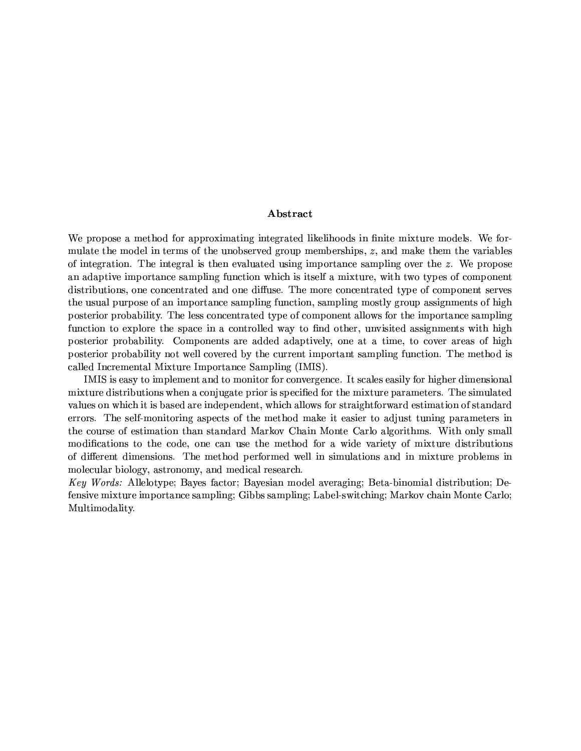### Abstract

We propose a method for approximating integrated likelihoods in finite mixture models. We formulate the model in terms of the unobserved group memberships, z, and make them the variables of integration. The integral is then evaluated using importance sampling over the  $z$ . We propose an adaptive importance sampling function which is itself a mixture, with two types of component distributions, one concentrated and one diffuse. The more concentrated type of component serves the usual purpose of an importance sampling function, sampling mostly group assignments of high posterior probability. The less concentrated type of component allows for the importance sampling function to explore the space in a controlled way to find other, unvisited assignments with high posterior probability. Components are added adaptively, one at a time, to cover areas of high posterior probability not well covered by the current important sampling function. The method is called Incremental Mixture Importance Sampling (IMIS).

IMIS is easy to implement and to monitor for convergence. It scales easily for higher dimensional mixture distributions when a conjugate prior is specified for the mixture parameters. The simulated values on which it is based are independent, which allows for straightforward estimation of standard errors. The self-monitoring aspects of the method make it easier to adjust tuning parameters in the course of estimation than standard Markov Chain Monte Carlo algorithms. With only small modifications to the code, one can use the method for a wide variety of mixture distributions of different dimensions. The method performed well in simulations and in mixture problems in molecular biology, astronomy, and medical research.

Key Words: Allelotype: Bayes factor: Bayesian model averaging: Beta-binomial distribution: Defensive mixture importance sampling; Gibbs sampling; Label-switching; Markov chain Monte Carlo; Multimodality.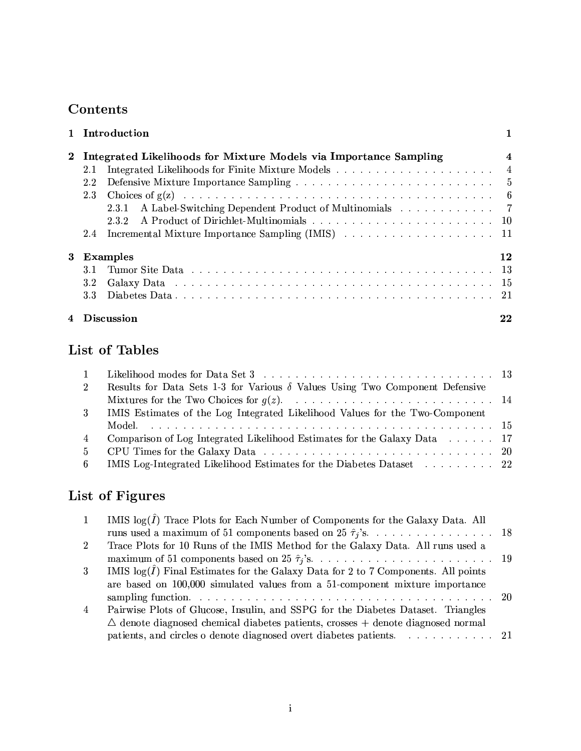## Contents

| $\mathbf{1}$ | Introduction                                                      | 1                   |
|--------------|-------------------------------------------------------------------|---------------------|
| $\bf{2}$     | Integrated Likelihoods for Mixture Models via Importance Sampling | $\overline{\bf{4}}$ |
|              | 2.1                                                               |                     |
|              | 2.2                                                               |                     |
|              | 2.3                                                               |                     |
|              | A Label-Switching Dependent Product of Multinomials 7<br>2.3.1    |                     |
|              | 232                                                               |                     |
|              | $2.4\,$                                                           |                     |
| 3            | <b>Examples</b>                                                   | 12                  |
|              | 3.1                                                               |                     |
|              | 3.2 <sub>1</sub>                                                  |                     |
|              | 3.3 <sub>1</sub>                                                  |                     |
|              | 4 Discussion                                                      | 22                  |

# List of Tables

| 1              |                                                                                     |  |
|----------------|-------------------------------------------------------------------------------------|--|
| $2^{\circ}$    | Results for Data Sets 1-3 for Various $\delta$ Values Using Two Component Defensive |  |
|                |                                                                                     |  |
| 3 <sup>1</sup> | IMIS Estimates of the Log Integrated Likelihood Values for the Two-Component        |  |
|                |                                                                                     |  |
| $\overline{4}$ | Comparison of Log Integrated Likelihood Estimates for the Galaxy Data 17            |  |
| 5 <sup>5</sup> |                                                                                     |  |
|                | 6 IMIS Log-Integrated Likelihood Estimates for the Diabetes Dataset 22              |  |

# List of Figures

| $\mathbf{1}$   | IMIS $log(\hat{I})$ Trace Plots for Each Number of Components for the Galaxy Data. All     |  |
|----------------|--------------------------------------------------------------------------------------------|--|
|                | runs used a maximum of 51 components based on 25 $\hat{\tau}_j$ 's 18                      |  |
| $\overline{2}$ | Trace Plots for 10 Runs of the IMIS Method for the Galaxy Data. All runs used a            |  |
|                |                                                                                            |  |
| $\mathbf{3}$   | IMIS $log(\hat{I})$ Final Estimates for the Galaxy Data for 2 to 7 Components. All points  |  |
|                | are based on 100,000 simulated values from a 51-component mixture importance               |  |
|                |                                                                                            |  |
| $\overline{4}$ | Pairwise Plots of Glucose, Insulin, and SSPG for the Diabetes Dataset. Triangles           |  |
|                | $\triangle$ denote diagnosed chemical diabetes patients, crosses + denote diagnosed normal |  |
|                | patients, and circles o denote diagnosed overt diabetes patients. 21                       |  |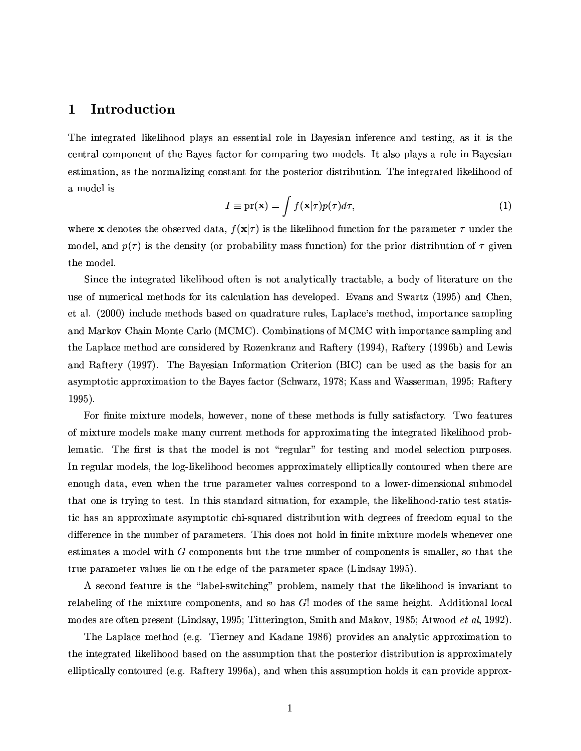#### $\mathbf{1}$ Introduction

The integrated likelihood plays an essential role in Bayesian inference and testing, as it is the central component of the Bayes factor for comparing two models. It also plays a role in Bayesian estimation, as the normalizing constant for the posterior distribution. The integrated likelihood of a model is

$$
I \equiv \mathrm{pr}(\mathbf{x}) = \int f(\mathbf{x}|\tau)p(\tau)d\tau,\tag{1}
$$

where **x** denotes the observed data,  $f(\mathbf{x}|\tau)$  is the likelihood function for the parameter  $\tau$  under the model, and  $p(\tau)$  is the density (or probability mass function) for the prior distribution of  $\tau$  given the model.

Since the integrated likelihood often is not analytically tractable, a body of literature on the use of numerical methods for its calculation has developed. Evans and Swartz (1995) and Chen, et al. (2000) include methods based on quadrature rules, Laplace's method, importance sampling and Markov Chain Monte Carlo (MCMC). Combinations of MCMC with importance sampling and the Laplace method are considered by Rozenkranz and Raftery (1994), Raftery (1996b) and Lewis and Raftery (1997). The Bayesian Information Criterion (BIC) can be used as the basis for an asymptotic approximation to the Bayes factor (Schwarz, 1978; Kass and Wasserman, 1995; Raftery  $1995$ ).

For finite mixture models, however, none of these methods is fully satisfactory. Two features of mixture models make many current methods for approximating the integrated likelihood problematic. The first is that the model is not "regular" for testing and model selection purposes. In regular models, the log-likelihood becomes approximately elliptically contoured when there are enough data, even when the true parameter values correspond to a lower-dimensional submodel that one is trying to test. In this standard situation, for example, the likelihood-ratio test statistic has an approximate asymptotic chi-squared distribution with degrees of freedom equal to the difference in the number of parameters. This does not hold in finite mixture models whenever one estimates a model with G components but the true number of components is smaller, so that the true parameter values lie on the edge of the parameter space (Lindsay 1995).

A second feature is the "label-switching" problem, namely that the likelihood is invariant to relabeling of the mixture components, and so has  $G!$  modes of the same height. Additional local modes are often present (Lindsay, 1995; Titterington, Smith and Makov, 1985; Atwood et al, 1992).

The Laplace method (e.g. Tierney and Kadane 1986) provides an analytic approximation to the integrated likelihood based on the assumption that the posterior distribution is approximately elliptically contoured (e.g. Raftery 1996a), and when this assumption holds it can provide approx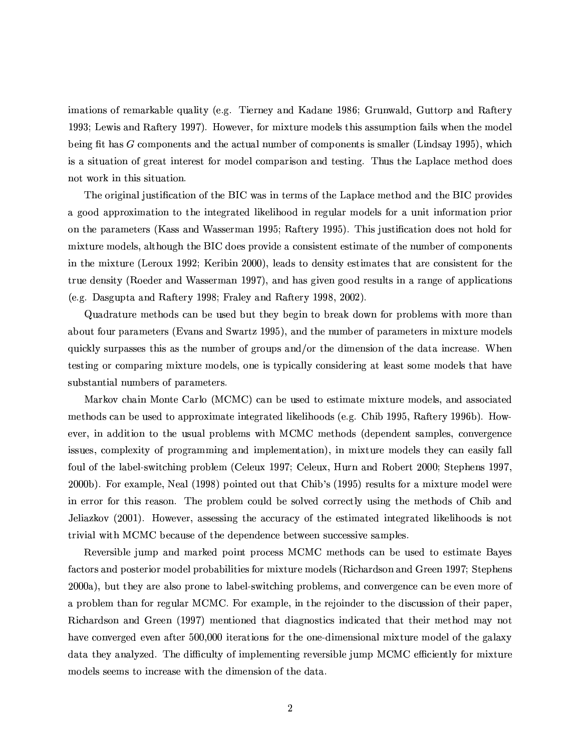imations of remarkable quality (e.g. Tierney and Kadane 1986; Grunwald, Guttorp and Raftery 1993; Lewis and Raftery 1997). However, for mixture models this assumption fails when the model being fit has  $G$  components and the actual number of components is smaller (Lindsay 1995), which is a situation of great interest for model comparison and testing. Thus the Laplace method does not work in this situation.

The original justification of the BIC was in terms of the Laplace method and the BIC provides a good approximation to the integrated likelihood in regular models for a unit information prior on the parameters (Kass and Wasserman 1995; Raftery 1995). This justification does not hold for mixture models, although the BIC does provide a consistent estimate of the number of components in the mixture (Leroux 1992; Keribin 2000), leads to density estimates that are consistent for the true density (Roeder and Wasserman 1997), and has given good results in a range of applications (e.g. Dasgupta and Raftery 1998; Fraley and Raftery 1998, 2002).

Quadrature methods can be used but they begin to break down for problems with more than about four parameters (Evans and Swartz 1995), and the number of parameters in mixture models quickly surpasses this as the number of groups and/or the dimension of the data increase. When testing or comparing mixture models, one is typically considering at least some models that have substantial numbers of parameters.

Markov chain Monte Carlo (MCMC) can be used to estimate mixture models, and associated methods can be used to approximate integrated likelihoods (e.g. Chib 1995, Raftery 1996b). However, in addition to the usual problems with MCMC methods (dependent samples, convergence issues, complexity of programming and implementation), in mixture models they can easily fall foul of the label-switching problem (Celeux 1997; Celeux, Hurn and Robert 2000; Stephens 1997, 2000b). For example, Neal (1998) pointed out that Chib's (1995) results for a mixture model were in error for this reason. The problem could be solved correctly using the methods of Chib and Jeliazkov (2001). However, assessing the accuracy of the estimated integrated likelihoods is not trivial with MCMC because of the dependence between successive samples.

Reversible jump and marked point process MCMC methods can be used to estimate Bayes factors and posterior model probabilities for mixture models (Richardson and Green 1997; Stephens 2000a), but they are also prone to label-switching problems, and convergence can be even more of a problem than for regular MCMC. For example, in the rejoinder to the discussion of their paper, Richardson and Green (1997) mentioned that diagnostics indicated that their method may not have converged even after 500,000 iterations for the one-dimensional mixture model of the galaxy data they analyzed. The difficulty of implementing reversible jump MCMC efficiently for mixture models seems to increase with the dimension of the data.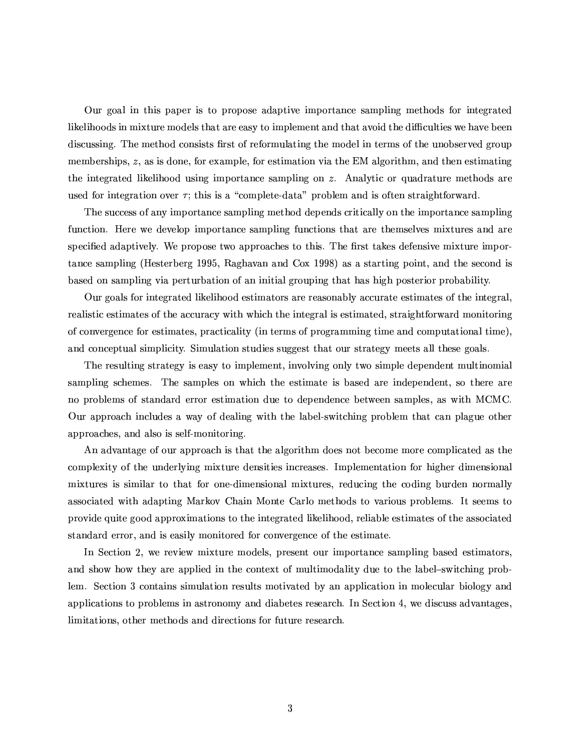Our goal in this paper is to propose adaptive importance sampling methods for integrated likelihoods in mixture models that are easy to implement and that avoid the difficulties we have been discussing. The method consists first of reformulating the model in terms of the unobserved group memberships, z, as is done, for example, for estimation via the EM algorithm, and then estimating the integrated likelihood using importance sampling on  $z$ . Analytic or quadrature methods are used for integration over  $\tau$ ; this is a "complete-data" problem and is often straightforward.

The success of any importance sampling method depends critically on the importance sampling function. Here we develop importance sampling functions that are themselves mixtures and are specified adaptively. We propose two approaches to this. The first takes defensive mixture importance sampling (Hesterberg 1995, Raghavan and Cox 1998) as a starting point, and the second is based on sampling via perturbation of an initial grouping that has high posterior probability.

Our goals for integrated likelihood estimators are reasonably accurate estimates of the integral, realistic estimates of the accuracy with which the integral is estimated, straightforward monitoring of convergence for estimates, practicality (in terms of programming time and computational time), and conceptual simplicity. Simulation studies suggest that our strategy meets all these goals.

The resulting strategy is easy to implement, involving only two simple dependent multinomial sampling schemes. The samples on which the estimate is based are independent, so there are no problems of standard error estimation due to dependence between samples, as with MCMC. Our approach includes a way of dealing with the label-switching problem that can plague other approaches, and also is self-monitoring.

An advantage of our approach is that the algorithm does not become more complicated as the complexity of the underlying mixture densities increases. Implementation for higher dimensional mixtures is similar to that for one-dimensional mixtures, reducing the coding burden normally associated with adapting Markov Chain Monte Carlo methods to various problems. It seems to provide quite good approximations to the integrated likelihood, reliable estimates of the associated standard error, and is easily monitored for convergence of the estimate.

In Section 2, we review mixture models, present our importance sampling based estimators, and show how they are applied in the context of multimodality due to the label-switching problem. Section 3 contains simulation results motivated by an application in molecular biology and applications to problems in astronomy and diabetes research. In Section 4, we discuss advantages, limitations, other methods and directions for future research.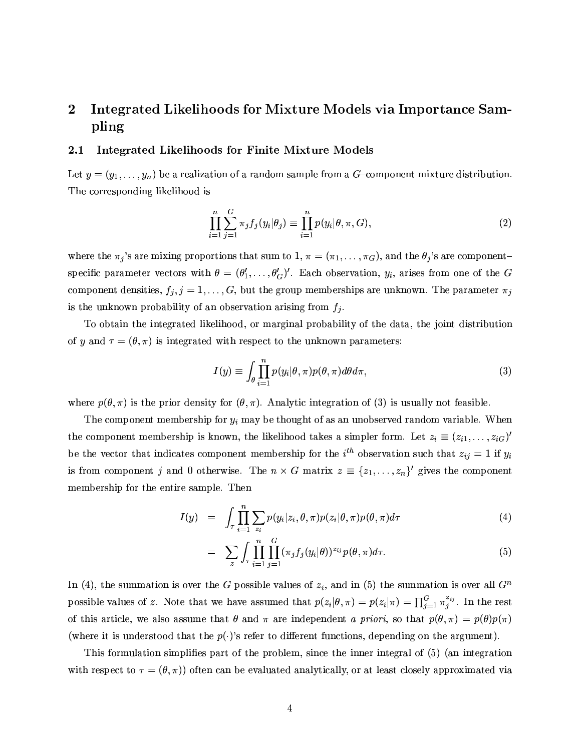### $\bf{2}$ Integrated Likelihoods for Mixture Models via Importance Sampling

#### Integrated Likelihoods for Finite Mixture Models  $2.1$

Let  $y = (y_1, \ldots, y_n)$  be a realization of a random sample from a G-component mixture distribution. The corresponding likelihood is

$$
\prod_{i=1}^{n} \sum_{j=1}^{G} \pi_j f_j(y_i | \theta_j) \equiv \prod_{i=1}^{n} p(y_i | \theta, \pi, G), \qquad (2)
$$

where the  $\pi_j$ 's are mixing proportions that sum to 1,  $\pi = (\pi_1, \ldots, \pi_G)$ , and the  $\theta_j$ 's are componentspecific parameter vectors with  $\theta = (\theta'_1, \ldots, \theta'_G)'$ . Each observation,  $y_i$ , arises from one of the G component densities,  $f_j$ ,  $j = 1, ..., G$ , but the group memberships are unknown. The parameter  $\pi_j$ is the unknown probability of an observation arising from  $f_j$ .

To obtain the integrated likelihood, or marginal probability of the data, the joint distribution of y and  $\tau = (\theta, \pi)$  is integrated with respect to the unknown parameters:

$$
I(y) \equiv \int_{\theta} \prod_{i=1}^{n} p(y_i | \theta, \pi) p(\theta, \pi) d\theta d\pi, \qquad (3)
$$

where  $p(\theta, \pi)$  is the prior density for  $(\theta, \pi)$ . Analytic integration of (3) is usually not feasible.

The component membership for  $y_i$  may be thought of as an unobserved random variable. When the component membership is known, the likelihood takes a simpler form. Let  $z_i \equiv (z_{i1}, \ldots, z_{iG})'$ be the vector that indicates component membership for the  $i^{th}$  observation such that  $z_{ij} = 1$  if  $y_i$ is from component j and 0 otherwise. The  $n \times G$  matrix  $z \equiv \{z_1, \ldots, z_n\}$  gives the component membership for the entire sample. Then

$$
I(y) = \int_{\tau} \prod_{i=1}^{n} \sum_{z_i} p(y_i|z_i, \theta, \pi) p(z_i|\theta, \pi) p(\theta, \pi) d\tau
$$
\n(4)

$$
= \sum_{z} \int_{\tau} \prod_{i=1}^{n} \prod_{j=1}^{G} (\pi_j f_j(y_i|\theta))^{z_{ij}} p(\theta, \pi) d\tau.
$$
 (5)

In (4), the summation is over the G possible values of  $z_i$ , and in (5) the summation is over all  $G^n$ possible values of z. Note that we have assumed that  $p(z_i|\theta,\pi) = p(z_i|\pi) = \prod_{j=1}^G \pi_j^{z_{ij}}$ . In the rest of this article, we also assume that  $\theta$  and  $\pi$  are independent a priori, so that  $p(\theta, \pi) = p(\theta)p(\pi)$ (where it is understood that the  $p(\cdot)$ 's refer to different functions, depending on the argument).

This formulation simplifies part of the problem, since the inner integral of (5) (an integration with respect to  $\tau = (\theta, \pi)$  often can be evaluated analytically, or at least closely approximated via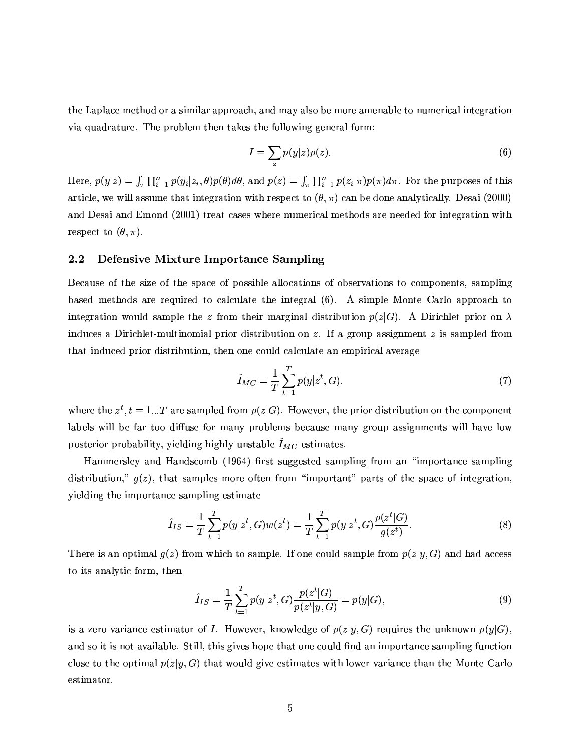the Laplace method or a similar approach, and may also be more amenable to numerical integration via quadrature. The problem then takes the following general form:

$$
I = \sum_{z} p(y|z)p(z). \tag{6}
$$

Here,  $p(y|z) = \int_{\tau} \prod_{i=1}^n p(y_i|z_i, \theta) p(\theta) d\theta$ , and  $p(z) = \int_{\pi} \prod_{i=1}^n p(z_i|\pi) p(\pi) d\pi$ . For the purposes of this article, we will assume that integration with respect to  $(\theta, \pi)$  can be done analytically. Desai (2000) and Desai and Emond (2001) treat cases where numerical methods are needed for integration with respect to  $(\theta, \pi)$ .

#### 2.2 Defensive Mixture Importance Sampling

Because of the size of the space of possible allocations of observations to components, sampling based methods are required to calculate the integral (6). A simple Monte Carlo approach to integration would sample the z from their marginal distribution  $p(z|G)$ . A Dirichlet prior on  $\lambda$ induces a Dirichlet-multinomial prior distribution on z. If a group assignment z is sampled from that induced prior distribution, then one could calculate an empirical average

$$
\hat{I}_{MC} = \frac{1}{T} \sum_{t=1}^{T} p(y|z^t, G). \tag{7}
$$

where the  $z^t$ ,  $t = 1...T$  are sampled from  $p(z|G)$ . However, the prior distribution on the component labels will be far too diffuse for many problems because many group assignments will have low posterior probability, yielding highly unstable  $\hat{I}_{MC}$  estimates.

Hammersley and Handscomb (1964) first suggested sampling from an "importance sampling distribution,"  $g(z)$ , that samples more often from "important" parts of the space of integration, yielding the importance sampling estimate

$$
\hat{I}_{IS} = \frac{1}{T} \sum_{t=1}^{T} p(y|z^t, G) w(z^t) = \frac{1}{T} \sum_{t=1}^{T} p(y|z^t, G) \frac{p(z^t|G)}{g(z^t)}.
$$
\n(8)

There is an optimal  $q(z)$  from which to sample. If one could sample from  $p(z|y, G)$  and had access to its analytic form, then

$$
\hat{I}_{IS} = \frac{1}{T} \sum_{t=1}^{T} p(y|z^t, G) \frac{p(z^t|G)}{p(z^t|y, G)} = p(y|G),\tag{9}
$$

is a zero-variance estimator of I. However, knowledge of  $p(z|y, G)$  requires the unknown  $p(y|G)$ , and so it is not available. Still, this gives hope that one could find an importance sampling function close to the optimal  $p(z|y, G)$  that would give estimates with lower variance than the Monte Carlo estimator.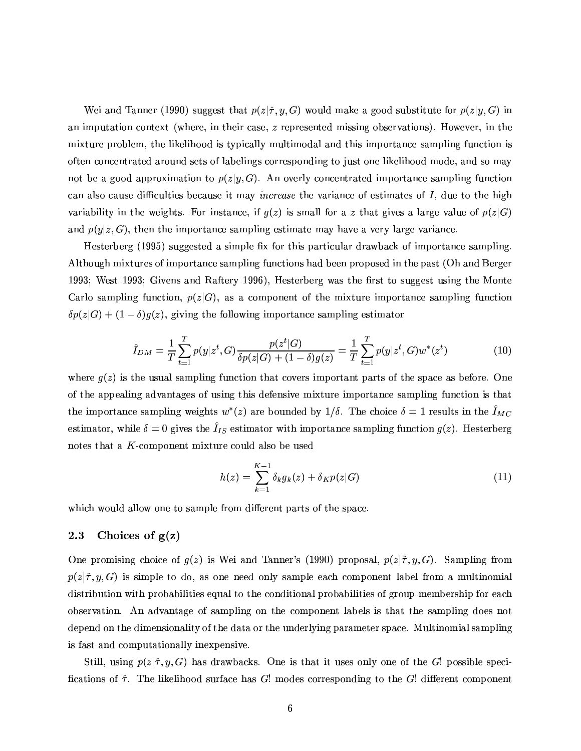Wei and Tanner (1990) suggest that  $p(z|\hat{\tau}, y, G)$  would make a good substitute for  $p(z|y, G)$  in an imputation context (where, in their case,  $z$  represented missing observations). However, in the mixture problem, the likelihood is typically multimodal and this importance sampling function is often concentrated around sets of labelings corresponding to just one likelihood mode, and so may not be a good approximation to  $p(z|y, G)$ . An overly concentrated importance sampling function can also cause difficulties because it may *increase* the variance of estimates of I, due to the high variability in the weights. For instance, if  $g(z)$  is small for a z that gives a large value of  $p(z|G)$ and  $p(y|z, G)$ , then the importance sampling estimate may have a very large variance.

Hesterberg (1995) suggested a simple fix for this particular drawback of importance sampling Although mixtures of importance sampling functions had been proposed in the past (Oh and Berger 1993; West 1993; Givens and Raftery 1996), Hesterberg was the first to suggest using the Monte Carlo sampling function,  $p(z|G)$ , as a component of the mixture importance sampling function  $\delta p(z|G) + (1-\delta)g(z)$ , giving the following importance sampling estimator

$$
\hat{I}_{DM} = \frac{1}{T} \sum_{t=1}^{T} p(y|z^t, G) \frac{p(z^t|G)}{\delta p(z|G) + (1-\delta)g(z)} = \frac{1}{T} \sum_{t=1}^{T} p(y|z^t, G) w^*(z^t)
$$
(10)

where  $g(z)$  is the usual sampling function that covers important parts of the space as before. One of the appealing advantages of using this defensive mixture importance sampling function is that the importance sampling weights  $w^*(z)$  are bounded by  $1/\delta$ . The choice  $\delta = 1$  results in the  $I_{MC}$ estimator, while  $\delta = 0$  gives the  $\hat{I}_{IS}$  estimator with importance sampling function  $g(z)$ . Hesterberg notes that a  $K$ -component mixture could also be used

$$
h(z) = \sum_{k=1}^{K-1} \delta_k g_k(z) + \delta_K p(z|G)
$$
 (11)

which would allow one to sample from different parts of the space.

#### 2.3 Choices of  $g(z)$

One promising choice of  $g(z)$  is Wei and Tanner's (1990) proposal,  $p(z|\hat{\tau}, y, G)$ . Sampling from  $p(z|\hat{\tau}, y, G)$  is simple to do, as one need only sample each component label from a multinomial distribution with probabilities equal to the conditional probabilities of group membership for each observation. An advantage of sampling on the component labels is that the sampling does not depend on the dimensionality of the data or the underlying parameter space. Multinomial sampling is fast and computationally inexpensive.

Still, using  $p(z|\hat{\tau}, y, G)$  has drawbacks. One is that it uses only one of the G! possible specifications of  $\hat{\tau}$ . The likelihood surface has G! modes corresponding to the G! different component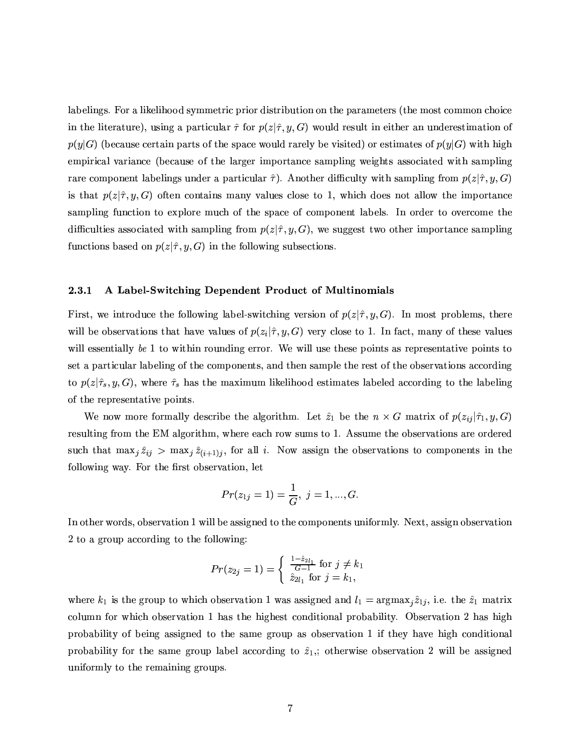labelings. For a likelihood symmetric prior distribution on the parameters (the most common choice in the literature), using a particular  $\hat{\tau}$  for  $p(z|\hat{\tau}, y, G)$  would result in either an underestimation of  $p(y|G)$  (because certain parts of the space would rarely be visited) or estimates of  $p(y|G)$  with high empirical variance (because of the larger importance sampling weights associated with sampling rare component labelings under a particular  $\hat{\tau}$ ). Another difficulty with sampling from  $p(z|\hat{\tau}, y, G)$ is that  $p(z|\hat{\tau}, y, G)$  often contains many values close to 1, which does not allow the importance sampling function to explore much of the space of component labels. In order to overcome the difficulties associated with sampling from  $p(z|\hat{\tau}, y, G)$ , we suggest two other importance sampling functions based on  $p(z|\hat{\tau}, y, G)$  in the following subsections.

#### 2.3.1 A Label-Switching Dependent Product of Multinomials

First, we introduce the following label-switching version of  $p(z|\hat{\tau}, y, G)$ . In most problems, there will be observations that have values of  $p(z_i|\hat{\tau}, y, G)$  very close to 1. In fact, many of these values will essentially be 1 to within rounding error. We will use these points as representative points to set a particular labeling of the components, and then sample the rest of the observations according to  $p(z|\hat{\tau}_s, y, G)$ , where  $\hat{\tau}_s$  has the maximum likelihood estimates labeled according to the labeling of the representative points.

We now more formally describe the algorithm. Let  $\hat{z}_1$  be the  $n \times G$  matrix of  $p(z_{ij}|\hat{\tau}_1, y, G)$ resulting from the EM algorithm, where each row sums to 1. Assume the observations are ordered such that  $\max_j \hat{z}_{ij} > \max_j \hat{z}_{(i+1)j}$ , for all i. Now assign the observations to components in the following way. For the first observation, let

$$
Pr(z_{1j}=1)=\frac{1}{G},\;j=1,...,G.
$$

In other words, observation 1 will be assigned to the components uniformly. Next, assign observation 2 to a group according to the following:

$$
Pr(z_{2j} = 1) = \begin{cases} \frac{1 - \hat{z}_{2l_1}}{G - 1} \text{ for } j \neq k_1\\ \hat{z}_{2l_1} \text{ for } j = k_1, \end{cases}
$$

where  $k_1$  is the group to which observation 1 was assigned and  $l_1 = \argmax_i \hat{z}_{1i}$ , i.e. the  $\hat{z}_1$  matrix column for which observation 1 has the highest conditional probability. Observation 2 has high probability of being assigned to the same group as observation 1 if they have high conditional probability for the same group label according to  $\hat{z}_1$ ,; otherwise observation 2 will be assigned uniformly to the remaining groups.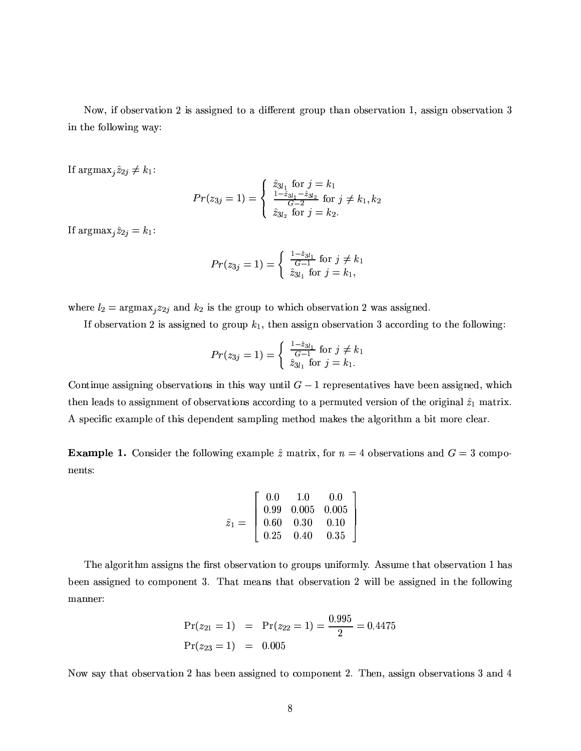Now, if observation 2 is assigned to a different group than observation 1, assign observation 3 in the following way:

If  $\arg\max_j \hat{z}_{2j} \neq k_1$ :

$$
Pr(z_{3j} = 1) = \begin{cases} \n\hat{z}_{3l_1} \text{ for } j = k_1 \\
\frac{1 - \hat{z}_{3l_1} - \hat{z}_{3l_2}}{G - 2} \text{ for } j \neq k_1, k_2 \\
\hat{z}_{3l_2} \text{ for } j = k_2.\n\end{cases}
$$

If  $\arg\max_j \hat{z}_{2j} = k_1$ :

$$
Pr(z_{3j} = 1) = \begin{cases} \frac{1 - \hat{z}_{3l_1}}{G - 1} \text{ for } j \neq k_1\\ \hat{z}_{3l_1} \text{ for } j = k_1, \end{cases}
$$

where  $l_2 = \text{argmax}_j z_{2j}$  and  $k_2$  is the group to which observation 2 was assigned.

If observation 2 is assigned to group  $k_1$ , then assign observation 3 according to the following:

$$
Pr(z_{3j} = 1) = \begin{cases} \frac{1 - \hat{z}_{3l_1}}{G - 1} \text{ for } j \neq k_1\\ \hat{z}_{3l_1} \text{ for } j = k_1. \end{cases}
$$

Continue assigning observations in this way until  $G-1$  representatives have been assigned, which then leads to assignment of observations according to a permuted version of the original  $\hat{z}_1$  matrix. A specific example of this dependent sampling method makes the algorithm a bit more clear.

**Example 1.** Consider the following example  $\hat{z}$  matrix, for  $n = 4$  observations and  $G = 3$  components:

$$
\hat{z}_1 = \left[\begin{array}{cccc}0.0 & 1.0 & 0.0 \\ 0.99 & 0.005 & 0.005 \\ 0.60 & 0.30 & 0.10 \\ 0.25 & 0.40 & 0.35\end{array}\right]
$$

The algorithm assigns the first observation to groups uniformly. Assume that observation 1 has been assigned to component 3. That means that observation 2 will be assigned in the following manner:

$$
Pr(z_{21} = 1) = Pr(z_{22} = 1) = \frac{0.995}{2} = 0.4475
$$
  
 
$$
Pr(z_{23} = 1) = 0.005
$$

Now say that observation 2 has been assigned to component 2. Then, assign observations 3 and 4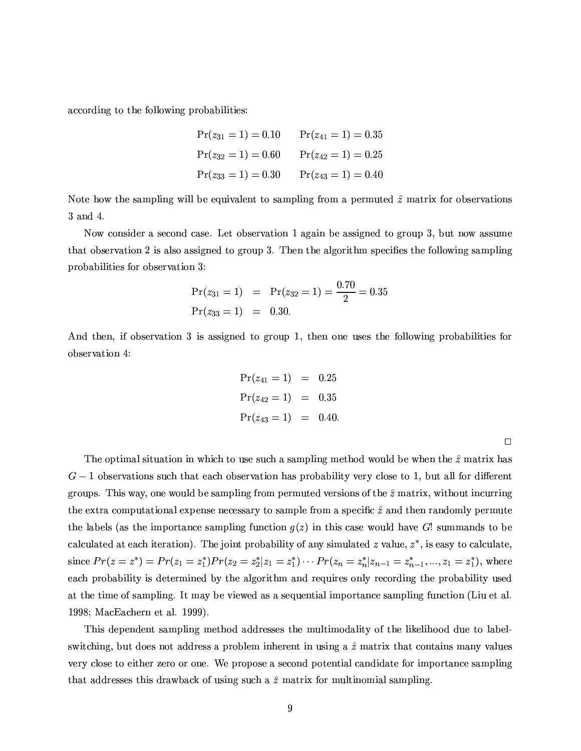according to the following probabilities:

$$
Pr(z_{31} = 1) = 0.10 \tPr(z_{41} = 1) = 0.35
$$
  
\n
$$
Pr(z_{32} = 1) = 0.60 \tPr(z_{42} = 1) = 0.25
$$
  
\n
$$
Pr(z_{33} = 1) = 0.30 \tPr(z_{43} = 1) = 0.40
$$

Note how the sampling will be equivalent to sampling from a permuted  $\hat{z}$  matrix for observations 3 and 4.

Now consider a second case. Let observation 1 again be assigned to group 3, but now assume that observation 2 is also assigned to group 3. Then the algorithm specifies the following sampling probabilities for observation 3:

$$
Pr(z_{31} = 1) = Pr(z_{32} = 1) = \frac{0.70}{2} = 0.35
$$
  
Pr(z\_{33} = 1) = 0.30.

And then, if observation 3 is assigned to group 1, then one uses the following probabilities for observation 4:

$$
Pr(z_{41} = 1) = 0.25
$$
  
\n
$$
Pr(z_{42} = 1) = 0.35
$$
  
\n
$$
Pr(z_{43} = 1) = 0.40
$$

The optimal situation in which to use such a sampling method would be when the  $\hat{z}$  matrix has  $G-1$  observations such that each observation has probability very close to 1, but all for different groups. This way, one would be sampling from permuted versions of the  $\hat{z}$  matrix, without incurring the extra computational expense necessary to sample from a specific  $\hat{z}$  and then randomly permute the labels (as the importance sampling function  $g(z)$  in this case would have G! summands to be calculated at each iteration). The joint probability of any simulated z value,  $z^*$ , is easy to calculate. since  $Pr(z = z^*) = Pr(z_1 = z_1^*) Pr(z_2 = z_2^* | z_1 = z_1^*) \cdots Pr(z_n = z_n^* | z_{n-1} = z_{n-1}^*, ..., z_1 = z_1^*)$ , where each probability is determined by the algorithm and requires only recording the probability used at the time of sampling. It may be viewed as a sequential importance sampling function (Liu et al. 1998; MacEachern et al. 1999).

This dependent sampling method addresses the multimodality of the likelihood due to labelswitching, but does not address a problem inherent in using a  $\hat{z}$  matrix that contains many values very close to either zero or one. We propose a second potential candidate for importance sampling that addresses this drawback of using such a  $\hat{z}$  matrix for multinomial sampling.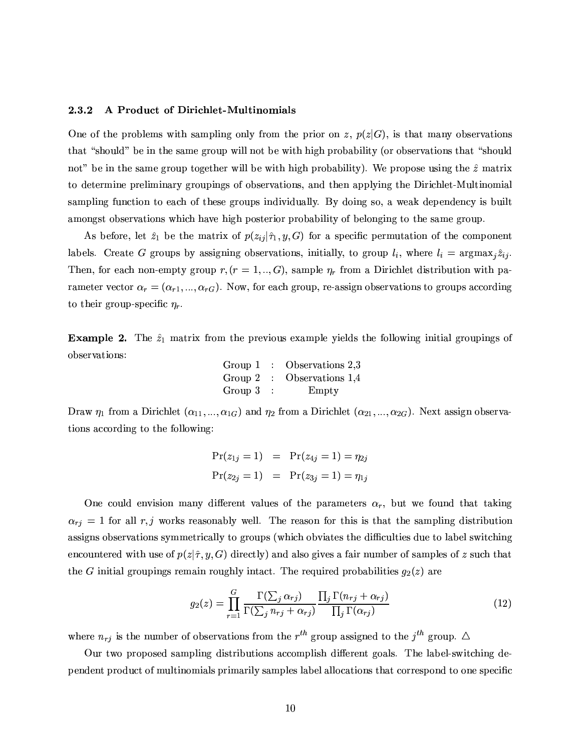#### 2.3.2 A Product of Dirichlet-Multinomials

One of the problems with sampling only from the prior on z,  $p(z|G)$ , is that many observations that "should" be in the same group will not be with high probability (or observations that "should not" be in the same group together will be with high probability). We propose using the  $\hat{z}$  matrix to determine preliminary groupings of observations, and then applying the Dirichlet-Multinomial sampling function to each of these groups individually. By doing so, a weak dependency is built amongst observations which have high posterior probability of belonging to the same group.

As before, let  $\hat{z}_1$  be the matrix of  $p(z_{ij}|\hat{\tau}_1,y,G)$  for a specific permutation of the component labels. Create G groups by assigning observations, initially, to group  $l_i$ , where  $l_i = \text{argmax}_i \hat{z}_{ij}$ . Then, for each non-empty group  $r, (r = 1, ..., G)$ , sample  $\eta_r$  from a Dirichlet distribution with parameter vector  $\alpha_r = (\alpha_{r1}, ..., \alpha_{rG})$ . Now, for each group, re-assign observations to groups according to their group-specific  $\eta_r$ .

**Example 2.** The  $\hat{z}_1$  matrix from the previous example yields the following initial groupings of observations:

| Group 1     | $\therefore$ Observations 2.3 |
|-------------|-------------------------------|
|             | Group 2 : Observations $1,4$  |
| Group $3$ : | Empty                         |

Draw  $\eta_1$  from a Dirichlet  $(\alpha_{11},...,\alpha_{1G})$  and  $\eta_2$  from a Dirichlet  $(\alpha_{21},...,\alpha_{2G})$ . Next assign observations according to the following:

$$
Pr(z_{1j} = 1) = Pr(z_{4j} = 1) = \eta_{2j}
$$
  

$$
Pr(z_{2j} = 1) = Pr(z_{3j} = 1) = \eta_{1j}
$$

One could envision many different values of the parameters  $\alpha_r$ , but we found that taking  $\alpha_{rj} = 1$  for all r, j works reasonably well. The reason for this is that the sampling distribution assigns observations symmetrically to groups (which obviates the difficulties due to label switching encountered with use of  $p(z|\hat{\tau}, y, G)$  directly) and also gives a fair number of samples of z such that the G initial groupings remain roughly intact. The required probabilities  $g_2(z)$  are

$$
g_2(z) = \prod_{r=1}^{G} \frac{\Gamma(\sum_j \alpha_{rj})}{\Gamma(\sum_j n_{rj} + \alpha_{rj})} \frac{\prod_j \Gamma(n_{rj} + \alpha_{rj})}{\prod_j \Gamma(\alpha_{rj})}
$$
(12)

where  $n_{rj}$  is the number of observations from the  $r^{th}$  group assigned to the  $j^{th}$  group.  $\Delta$ 

Our two proposed sampling distributions accomplish different goals. The label-switching dependent product of multinomials primarily samples label allocations that correspond to one specific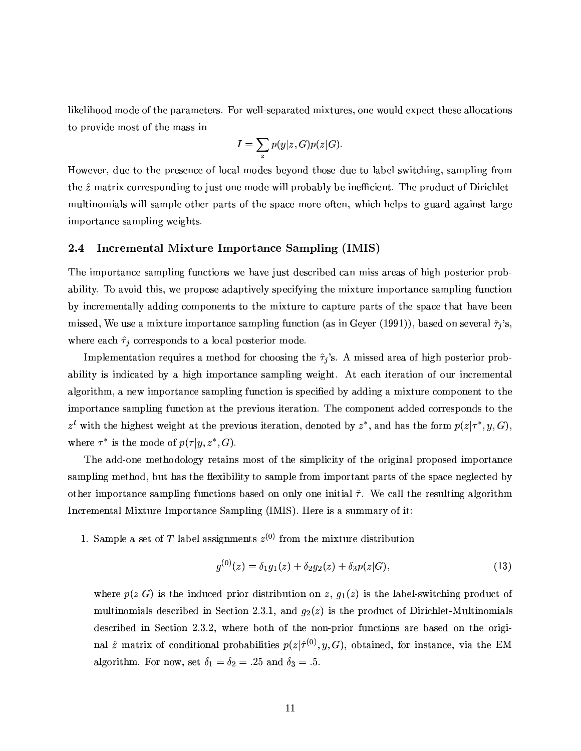likelihood mode of the parameters. For well-separated mixtures, one would expect these allocations to provide most of the mass in

$$
I = \sum_{z} p(y|z, G) p(z|G).
$$

However, due to the presence of local modes beyond those due to label-switching, sampling from the  $\hat{z}$  matrix corresponding to just one mode will probably be inefficient. The product of Dirichletmultinomials will sample other parts of the space more often, which helps to guard against large importance sampling weights.

#### $2.4$ Incremental Mixture Importance Sampling (IMIS)

The importance sampling functions we have just described can miss areas of high posterior probability. To avoid this, we propose adaptively specifying the mixture importance sampling function by incrementally adding components to the mixture to capture parts of the space that have been missed, We use a mixture importance sampling function (as in Geyer (1991)), based on several  $\hat{\tau}_i$ 's, where each  $\hat{\tau}_j$  corresponds to a local posterior mode.

Implementation requires a method for choosing the  $\hat{\tau}_j$ 's. A missed area of high posterior probability is indicated by a high importance sampling weight. At each iteration of our incremental algorithm, a new importance sampling function is specified by adding a mixture component to the importance sampling function at the previous iteration. The component added corresponds to the  $z^t$  with the highest weight at the previous iteration, denoted by  $z^*$ , and has the form  $p(z|\tau^*, y, G)$ , where  $\tau^*$  is the mode of  $p(\tau|y, z^*, G)$ .

The add-one methodology retains most of the simplicity of the original proposed importance sampling method, but has the flexibility to sample from important parts of the space neglected by other importance sampling functions based on only one initial  $\hat{\tau}$ . We call the resulting algorithm Incremental Mixture Importance Sampling (IMIS). Here is a summary of it:

1. Sample a set of T label assignments  $z^{(0)}$  from the mixture distribution

$$
g^{(0)}(z) = \delta_1 g_1(z) + \delta_2 g_2(z) + \delta_3 p(z|G), \qquad (13)
$$

where  $p(z|G)$  is the induced prior distribution on z,  $g_1(z)$  is the label-switching product of multinomials described in Section 2.3.1, and  $g_2(z)$  is the product of Dirichlet-Multinomials described in Section 2.3.2, where both of the non-prior functions are based on the original  $\hat{z}$  matrix of conditional probabilities  $p(z|\hat{\tau}^{(0)}, y, G)$ , obtained, for instance, via the EM algorithm. For now, set  $\delta_1 = \delta_2 = .25$  and  $\delta_3 = .5$ .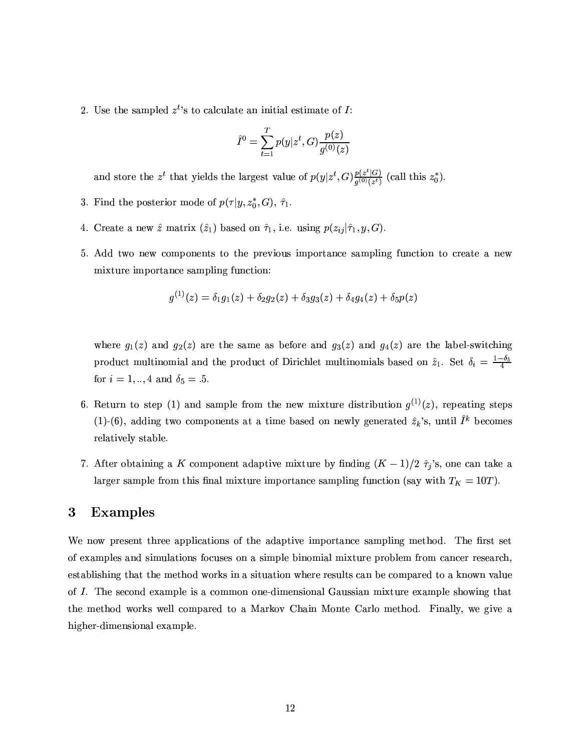2. Use the sampled  $z^t$ 's to calculate an initial estimate of I:

$$
\hat{I}^0 = \sum_{t=1}^T p(y|z^t, G) \frac{p(z)}{g^{(0)}(z)}
$$

and store the  $z^t$  that yields the largest value of  $p(y|z^t, G) \frac{p(z^t|G)}{q^{(0)}(z^t)}$  (call this  $z_0^*$ ).

- 3. Find the posterior mode of  $p(\tau | y, z_0^*, G)$ ,  $\hat{\tau}_1$ .
- 4. Create a new  $\hat{z}$  matrix  $(\hat{z}_1)$  based on  $\hat{\tau}_1$ , i.e. using  $p(z_{ij}|\hat{\tau}_1, y, G)$ .
- 5. Add two new components to the previous importance sampling function to create a new mixture importance sampling function:

$$
g^{(1)}(z) = \delta_1 g_1(z) + \delta_2 g_2(z) + \delta_3 g_3(z) + \delta_4 g_4(z) + \delta_5 p(z)
$$

where  $g_1(z)$  and  $g_2(z)$  are the same as before and  $g_3(z)$  and  $g_4(z)$  are the label-switching product multinomial and the product of Dirichlet multinomials based on  $\hat{z}_1$ . Set  $\delta_i = \frac{1-\delta_5}{4}$ for  $i = 1, ..., 4$  and  $\delta_5 = .5$ .

- 6. Return to step (1) and sample from the new mixture distribution  $g^{(1)}(z)$ , repeating steps (1)-(6), adding two components at a time based on newly generated  $\hat{z}_k$ 's, until  $\hat{I}^k$  becomes relatively stable.
- 7. After obtaining a K component adaptive mixture by finding  $(K-1)/2$   $\hat{\tau}_j$ 's, one can take a larger sample from this final mixture importance sampling function (say with  $T_K = 10T$ ).

#### **Examples**  $\bf{3}$

We now present three applications of the adaptive importance sampling method. The first set of examples and simulations focuses on a simple binomial mixture problem from cancer research. establishing that the method works in a situation where results can be compared to a known value of I. The second example is a common one-dimensional Gaussian mixture example showing that the method works well compared to a Markov Chain Monte Carlo method. Finally, we give a higher-dimensional example.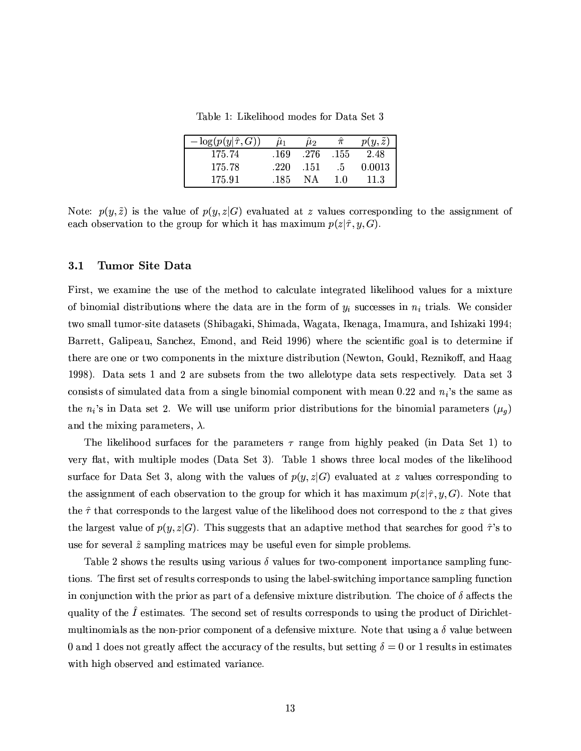Table 1: Likelihood modes for Data Set 3

| $-\log(p(y \hat{\tau}, G))$ | $\mu_1$ | $\mu_2$ |      | $p(y, \tilde{z})$ |
|-----------------------------|---------|---------|------|-------------------|
| 175.74                      | .169    | .276    | .155 | 2.48              |
| 175.78                      | .220    | .151    | .5   | 0.0013            |
| 175.91                      | .185    | NА      | 10   | 11.3              |

Note:  $p(y, \tilde{z})$  is the value of  $p(y, z|G)$  evaluated at z values corresponding to the assignment of each observation to the group for which it has maximum  $p(z|\hat{\tau}, y, G)$ .

#### $3.1$ Tumor Site Data

First, we examine the use of the method to calculate integrated likelihood values for a mixture of binomial distributions where the data are in the form of  $y_i$  successes in  $n_i$  trials. We consider two small tumor-site datasets (Shibagaki, Shimada, Wagata, Ikenaga, Imamura, and Ishizaki 1994; Barrett, Galipeau, Sanchez, Emond, and Reid 1996) where the scientific goal is to determine if there are one or two components in the mixture distribution (Newton, Gould, Reznikoff, and Haag 1998). Data sets 1 and 2 are subsets from the two allelotype data sets respectively. Data set 3 consists of simulated data from a single binomial component with mean 0.22 and  $n_i$ 's the same as the  $n_i$ 's in Data set 2. We will use uniform prior distributions for the binomial parameters  $(\mu_q)$ and the mixing parameters,  $\lambda$ .

The likelihood surfaces for the parameters  $\tau$  range from highly peaked (in Data Set 1) to very flat, with multiple modes (Data Set 3). Table 1 shows three local modes of the likelihood surface for Data Set 3, along with the values of  $p(y, z|G)$  evaluated at z values corresponding to the assignment of each observation to the group for which it has maximum  $p(z|\hat{\tau}, y, G)$ . Note that the  $\hat{\tau}$  that corresponds to the largest value of the likelihood does not correspond to the z that gives the largest value of  $p(y, z|G)$ . This suggests that an adaptive method that searches for good  $\hat{\tau}$ 's to use for several  $\hat{z}$  sampling matrices may be useful even for simple problems.

Table 2 shows the results using various  $\delta$  values for two-component importance sampling functions. The first set of results corresponds to using the label-switching importance sampling function in conjunction with the prior as part of a defensive mixture distribution. The choice of  $\delta$  affects the quality of the  $\hat{I}$  estimates. The second set of results corresponds to using the product of Dirichletmultinomials as the non-prior component of a defensive mixture. Note that using a  $\delta$  value between 0 and 1 does not greatly affect the accuracy of the results, but setting  $\delta = 0$  or 1 results in estimates with high observed and estimated variance.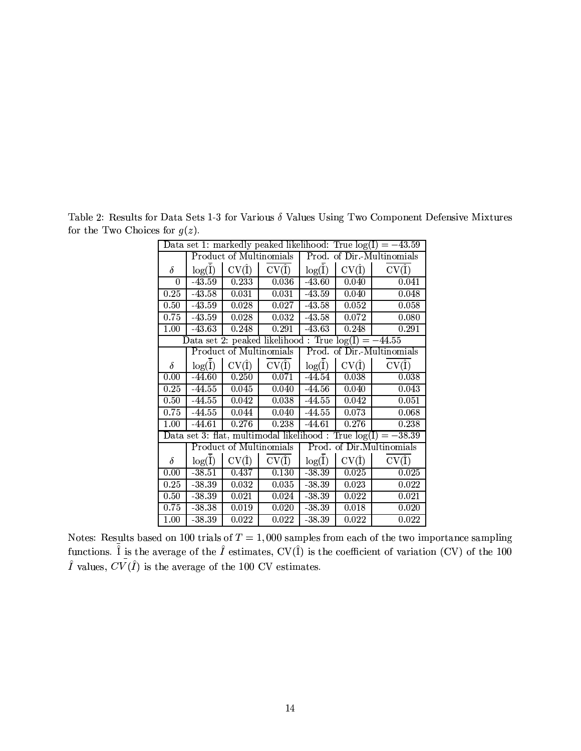| Data set 1: markedly peaked likelihood: True $log(I) = -43.59$ |                         |                    |                                                        |                            |                    |                                                                  |
|----------------------------------------------------------------|-------------------------|--------------------|--------------------------------------------------------|----------------------------|--------------------|------------------------------------------------------------------|
|                                                                | Product of Multinomials |                    |                                                        | Prod. of Dir.-Multinomials |                    |                                                                  |
| $\delta$                                                       | $log(\hat{I})$          | $CV(\hat{I})$      | $CV(\hat{I})$                                          | $\log(\hat{I})$            | $CV(\hat{I})$      | $CV(\hat{I})$                                                    |
| $\overline{0}$                                                 | $-43.59$                | 0.233              | 0.036                                                  | $-43.60$                   | 0.040              | 0.041                                                            |
| 0.25                                                           | $-43.58$                | 0.031              | 0.031                                                  | $-43.59$                   | 0.040              | 0.048                                                            |
| 0.50                                                           | $-43.59$                | $\overline{0.028}$ | 0.027                                                  | $-43.58$                   | $\overline{0.052}$ | 0.058                                                            |
| 0.75                                                           | $-43.59$                | 0.028              | 0.032                                                  | $-43.58$                   | 0.072              | 0.080                                                            |
| 1.00                                                           | $-43.63$                | $\overline{0.248}$ | 0.291                                                  | $-43.63$                   | $\overline{0.2}48$ | 0.291                                                            |
|                                                                |                         |                    | Data set 2: peaked likelihood : True $log(I) = -44.55$ |                            |                    |                                                                  |
|                                                                |                         |                    | Product of Multinomials                                |                            |                    | Prod. of Dir.-Multinomials                                       |
| $\delta$                                                       | $log(\hat{I})$          | $CV(\hat{I})$      | $CV(\hat{I})$                                          | $log(\hat{I})$             | $CV(\hat{I})$      | $CV(\hat{I})$                                                    |
| 0.00                                                           | $-44.60$                | 0.250              | 0.071                                                  | -44.54                     | 0.038              | 0.038                                                            |
| $\overline{0.25}$                                              | $-44.55$                | 0.045              | 0.040                                                  | $-44.56$                   | 0.040              | 0.043                                                            |
| 0.50                                                           | $-44.55$                | 0.042              | 0.038                                                  | $-44.55$                   | 0.042              | 0.051                                                            |
| 0.75                                                           | $-44.55$                | 0.044              | 0.040                                                  | $-44.55$                   | 0.073              | 0.068                                                            |
| 1.00                                                           | $-44.61$                | 0.276              | 0.238                                                  | $-44.61$                   | 0.276              | 0.238                                                            |
|                                                                |                         |                    |                                                        |                            |                    | Data set 3: flat, multimodal likelihood : True $log(I) = -38.39$ |
|                                                                |                         |                    | Product of Multinomials                                |                            |                    | Prod. of Dir.Multinomials                                        |
| $\delta$                                                       | $log(\hat{I})$          | $CV(\hat{I})$      | $CV(\hat{I})$                                          | $log(\hat{I})$             | $CV(\hat{I})$      | $CV(\hat{I})$                                                    |
| 0.00                                                           | $-38.51$                | 0.437              | 0.130                                                  | $-38.39$                   | 0.025              | 0.025                                                            |
| $\overline{0.25}$                                              | $-38.39$                | $\overline{0.0}32$ | 0.035                                                  | $-38.39$                   | 0.023              | 0.022                                                            |
| 0.50                                                           | $-38.39$                | 0.021              | 0.024                                                  | $-38.39$                   | 0.022              | 0.021                                                            |
| 0.75                                                           | $-38.38$                | 0.019              | 0.020                                                  | $-38.39$                   | 0.018              | 0.020                                                            |
| 1.00                                                           | $-38.39$                | 0.022              | 0.022                                                  | $-38.39$                   | 0.022              | 0.022                                                            |

Table 2: Results for Data Sets 1-3 for Various  $\delta$  Values Using Two Component Defensive Mixtures for the Two Choices for  $g(z)$ .

Notes: Results based on 100 trials of  $T = 1,000$  samples from each of the two importance sampling functions.  $\tilde{I}$  is the average of the  $\hat{I}$  estimates, CV( $\hat{I}$ ) is the coefficient of variation (CV) of the 100  $\$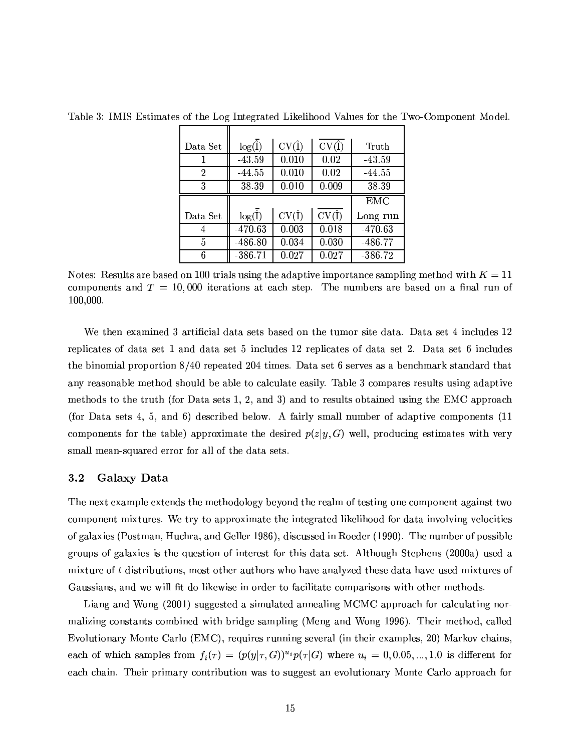| Data Set       | $\log(\overline{\hat{I}})$ | $CV(\hat{I})$ | $CV(\overline{I})$ | Truth      |
|----------------|----------------------------|---------------|--------------------|------------|
|                | $-43.59$                   | 0.010         | 0.02               | $-43.59$   |
| $\overline{2}$ | $-44.55$                   | 0.010         | 0.02               | $-44.55$   |
| 3              | $-38.39$                   | 0.010         | 0.009              | $-38.39$   |
|                |                            |               |                    |            |
|                |                            |               |                    | <b>EMC</b> |
| Data Set       | $\log(\overline{\hat{I}})$ | $CV(\hat{I})$ | $CV(\hat{I})$      | Long run   |
| 4              | $-470.63$                  | 0.003         | 0.018              | $-470.63$  |
| 5              | $-486.80$                  | 0.034         | 0.030              | $-486.77$  |

Table 3: IMIS Estimates of the Log Integrated Likelihood Values for the Two-Component Model.

Notes: Results are based on 100 trials using the adaptive importance sampling method with  $K = 11$ components and  $T = 10,000$  iterations at each step. The numbers are based on a final run of 100,000.

We then examined 3 artificial data sets based on the tumor site data. Data set 4 includes 12 replicates of data set 1 and data set 5 includes 12 replicates of data set 2. Data set 6 includes the binomial proportion  $8/40$  repeated 204 times. Data set 6 serves as a benchmark standard that any reasonable method should be able to calculate easily. Table 3 compares results using adaptive methods to the truth (for Data sets 1, 2, and 3) and to results obtained using the EMC approach (for Data sets 4, 5, and 6) described below. A fairly small number of adaptive components (11) components for the table) approximate the desired  $p(z|y, G)$  well, producing estimates with very small mean-squared error for all of the data sets.

#### $3.2$ Galaxy Data

The next example extends the methodology beyond the realm of testing one component against two component mixtures. We try to approximate the integrated likelihood for data involving velocities of galaxies (Postman, Huchra, and Geller 1986), discussed in Roeder (1990). The number of possible groups of galaxies is the question of interest for this data set. Although Stephens (2000a) used a mixture of t-distributions, most other authors who have analyzed these data have used mixtures of Gaussians, and we will fit do likewise in order to facilitate comparisons with other methods.

Liang and Wong (2001) suggested a simulated annealing MCMC approach for calculating normalizing constants combined with bridge sampling (Meng and Wong 1996). Their method, called Evolutionary Monte Carlo (EMC), requires running several (in their examples, 20) Markov chains, each of which samples from  $f_i(\tau) = (p(y|\tau, G))^{u_i} p(\tau|G)$  where  $u_i = 0, 0.05, ..., 1.0$  is different for each chain. Their primary contribution was to suggest an evolutionary Monte Carlo approach for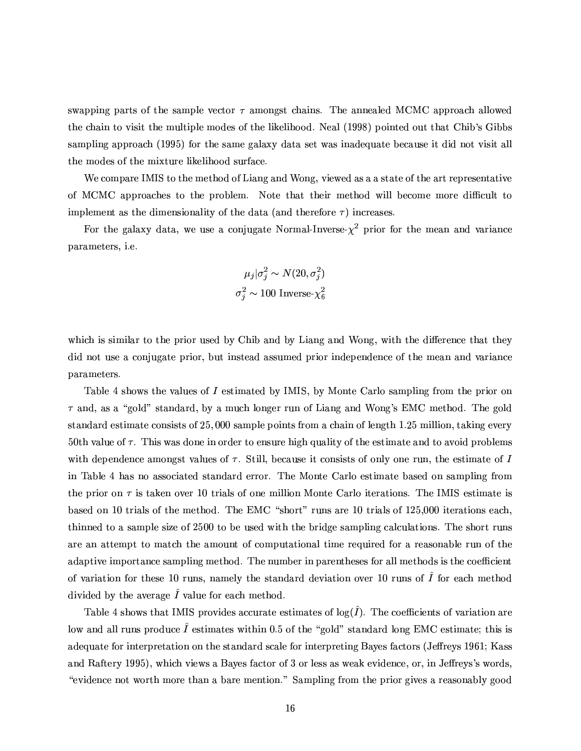swapping parts of the sample vector  $\tau$  amongst chains. The annealed MCMC approach allowed the chain to visit the multiple modes of the likelihood. Neal (1998) pointed out that Chib's Gibbs sampling approach (1995) for the same galaxy data set was inadequate because it did not visit all the modes of the mixture likelihood surface.

We compare IMIS to the method of Liang and Wong, viewed as a a state of the art representative of MCMC approaches to the problem. Note that their method will become more difficult to implement as the dimensionality of the data (and therefore  $\tau$ ) increases.

For the galaxy data, we use a conjugate Normal-Inverse- $\chi^2$  prior for the mean and variance parameters, *i.e.* 

$$
\mu_j|\sigma_j^2 \sim N(20, \sigma_j^2)
$$

$$
\sigma_j^2 \sim 100 \text{ Inverse-}\chi_6^2
$$

which is similar to the prior used by Chib and by Liang and Wong, with the difference that they did not use a conjugate prior, but instead assumed prior independence of the mean and variance parameters.

Table 4 shows the values of I estimated by IMIS, by Monte Carlo sampling from the prior on  $\tau$  and, as a "gold" standard, by a much longer run of Liang and Wong's EMC method. The gold standard estimate consists of 25,000 sample points from a chain of length 1.25 million, taking every 50th value of  $\tau$ . This was done in order to ensure high quality of the estimate and to avoid problems with dependence amongst values of  $\tau$ . Still, because it consists of only one run, the estimate of I in Table 4 has no associated standard error. The Monte Carlo estimate based on sampling from the prior on  $\tau$  is taken over 10 trials of one million Monte Carlo iterations. The IMIS estimate is based on 10 trials of the method. The EMC "short" runs are 10 trials of 125,000 iterations each. thinned to a sample size of 2500 to be used with the bridge sampling calculations. The short runs are an attempt to match the amount of computational time required for a reasonable run of the adaptive importance sampling method. The number in parentheses for all methods is the coefficient of variation for these 10 runs, namely the standard deviation over 10 runs of  $\hat{I}$  for each method divided by the average  $\hat{I}$  value for each method.

Table 4 shows that IMIS provides accurate estimates of  $log(\hat{I})$ . The coefficients of variation are low and all runs produce  $\hat{I}$  estimates within 0.5 of the "gold" standard long EMC estimate; this is adequate for interpretation on the standard scale for interpreting Bayes factors (Jeffreys 1961; Kass and Raftery 1995), which views a Bayes factor of 3 or less as weak evidence, or, in Jeffreys's words. "evidence not worth more than a bare mention." Sampling from the prior gives a reasonably good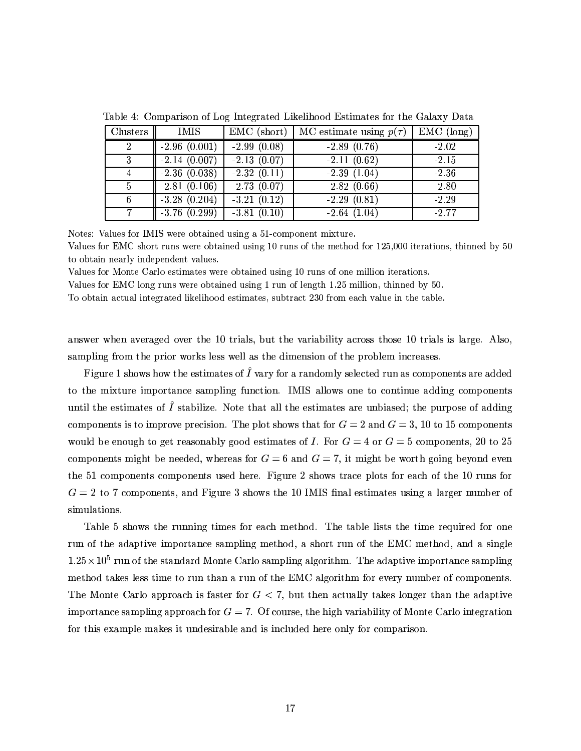| Clusters       | IMIS           | $EMC$ (short) | MC estimate using $p(\tau)$ | $EMC$ (long) |
|----------------|----------------|---------------|-----------------------------|--------------|
| $2^{\circ}$    | $-2.96(0.001)$ | $-2.99(0.08)$ | $-2.89(0.76)$               | $-2.02$      |
| 3              | $-2.14(0.007)$ | $-2.13(0.07)$ | $-2.11(0.62)$               | $-2.15$      |
| $\overline{4}$ | $-2.36(0.038)$ | $-2.32(0.11)$ | $-2.39(1.04)$               | $-2.36$      |
| $\overline{5}$ | $-2.81(0.106)$ | $-2.73(0.07)$ | $-2.82(0.66)$               | $-2.80$      |
| 6              | $-3.28(0.204)$ | $-3.21(0.12)$ | $-2.29(0.81)$               | $-2.29$      |
|                | $-3.76(0.299)$ | $-3.81(0.10)$ | $-2.64(1.04)$               | $-2.77$      |

Table 4: Comparison of Log Integrated Likelihood Estimates for the Galaxy Data

Notes: Values for IMIS were obtained using a 51-component mixture.

Values for EMC short runs were obtained using 10 runs of the method for 125,000 iterations, thinned by 50 to obtain nearly independent values.

Values for Monte Carlo estimates were obtained using 10 runs of one million iterations.

Values for EMC long runs were obtained using 1 run of length 1.25 million, thinned by 50.

To obtain actual integrated likelihood estimates, subtract 230 from each value in the table.

answer when averaged over the 10 trials, but the variability across those 10 trials is large. Also, sampling from the prior works less well as the dimension of the problem increases.

Figure 1 shows how the estimates of  $\hat{I}$  vary for a randomly selected run as components are added to the mixture importance sampling function. IMIS allows one to continue adding components until the estimates of  $\hat{I}$  stabilize. Note that all the estimates are unbiased; the purpose of adding components is to improve precision. The plot shows that for  $G = 2$  and  $G = 3$ , 10 to 15 components would be enough to get reasonably good estimates of *I*. For  $G = 4$  or  $G = 5$  components, 20 to 25 components might be needed, whereas for  $G = 6$  and  $G = 7$ , it might be worth going beyond even the 51 components components used here. Figure 2 shows trace plots for each of the 10 runs for  $G = 2$  to 7 components, and Figure 3 shows the 10 IMIS final estimates using a larger number of simulations.

Table 5 shows the running times for each method. The table lists the time required for one run of the adaptive importance sampling method, a short run of the EMC method, and a single  $1.25 \times 10^5$  run of the standard Monte Carlo sampling algorithm. The adaptive importance sampling method takes less time to run than a run of the EMC algorithm for every number of components. The Monte Carlo approach is faster for  $G < 7$ , but then actually takes longer than the adaptive importance sampling approach for  $G = 7$ . Of course, the high variability of Monte Carlo integration for this example makes it undesirable and is included here only for comparison.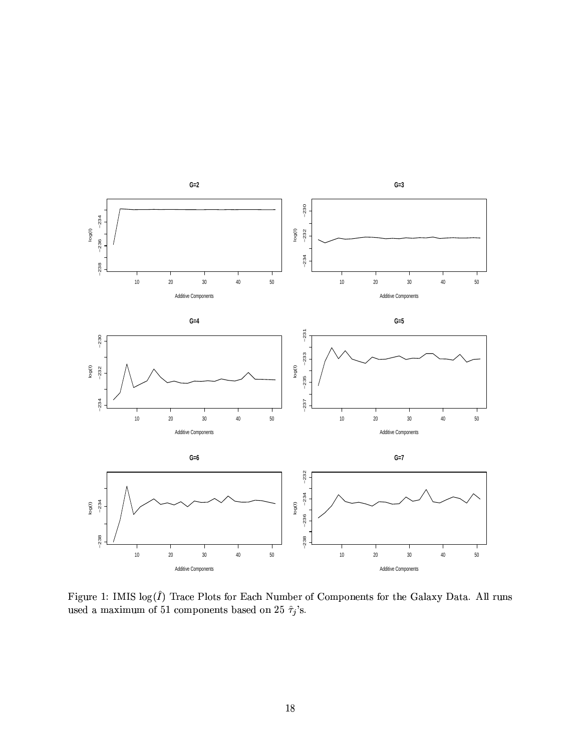

Figure 1: IMIS $\log(\hat{I})$ Trace Plots for Each Number of Components for the Galaxy Data. All runs used a maximum of 51 components based on 25  $\hat{\tau}_j$ 's.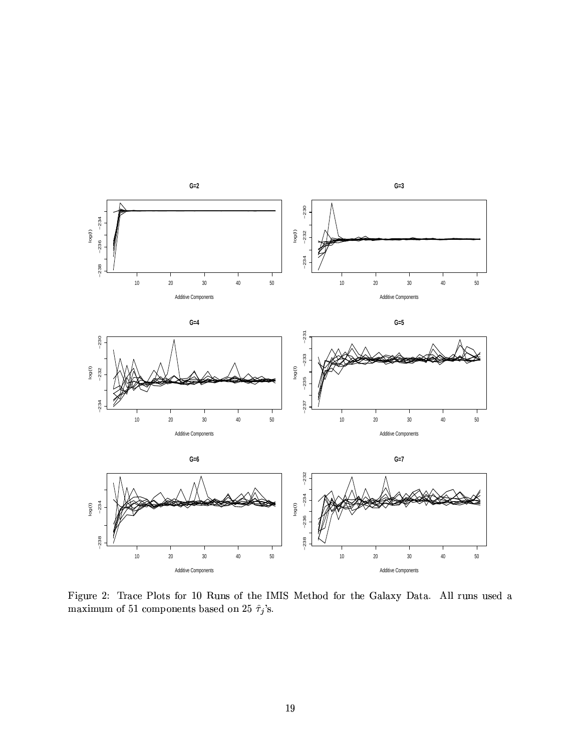

Figure 2: Trace Plots for 10 Runs of the IMIS Method for the Galaxy Data. All runs used a maximum of 51 components based on 25  $\hat\tau_j'{\rm s}.$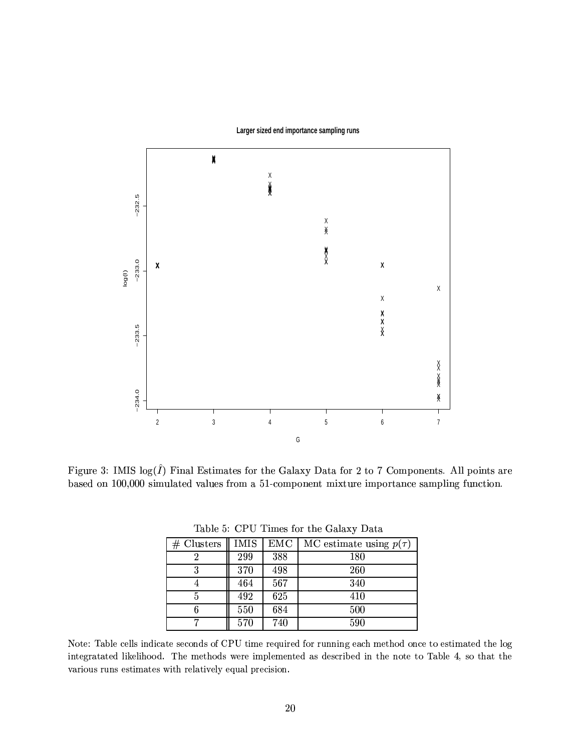

Larger sized end importance sampling runs

Figure 3: IMIS  $log(\hat{I})$  Final Estimates for the Galaxy Data for 2 to 7 Components. All points are based on 100,000 simulated values from a 51-component mixture importance sampling function.

| # Clusters | IMIS | <b>EMC</b> | MC estimate using $p(\tau)$ |
|------------|------|------------|-----------------------------|
|            | 299  | 388        | 180                         |
|            | 370  | 498        | 260                         |
|            | 464  | 567        | 340                         |
| 5          | 492  | 625        | 410                         |
|            | 550  | 684        | 500                         |
|            | 570  | 740        | 590                         |

Table 5: CPU Times for the Galaxy Data

Note: Table cells indicate seconds of CPU time required for running each method once to estimated the log integratated likelihood. The methods were implemented as described in the note to Table 4, so that the various runs estimates with relatively equal precision.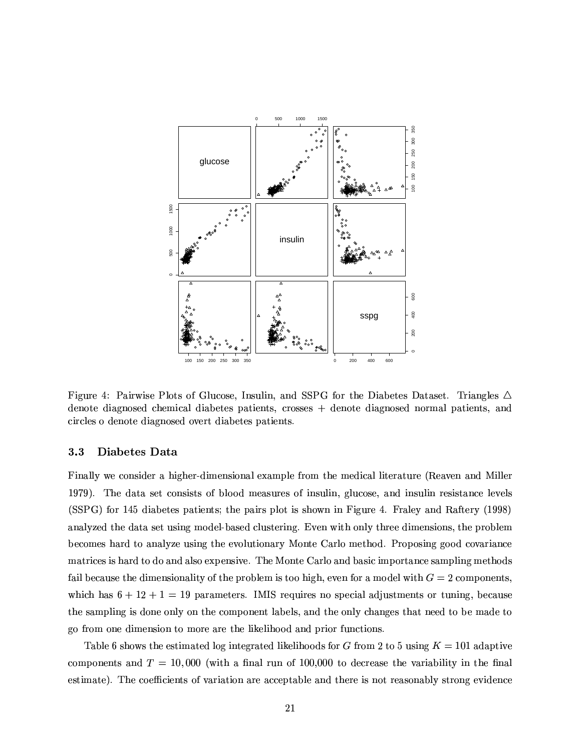

Figure 4: Pairwise Plots of Glucose, Insulin, and SSPG for the Diabetes Dataset. Triangles  $\triangle$ denote diagnosed chemical diabetes patients, crosses + denote diagnosed normal patients, and circles o denote diagnosed overt diabetes patients.

#### 3.3 Diabetes Data

Finally we consider a higher-dimensional example from the medical literature (Reaven and Miller 1979). The data set consists of blood measures of insulin, glucose, and insulin resistance levels (SSPG) for 145 diabetes patients; the pairs plot is shown in Figure 4. Fraley and Raftery (1998) analyzed the data set using model-based clustering. Even with only three dimensions, the problem becomes hard to analyze using the evolutionary Monte Carlo method. Proposing good covariance matrices is hard to do and also expensive. The Monte Carlo and basic importance sampling methods fail because the dimensionality of the problem is too high, even for a model with  $G = 2$  components. which has  $6 + 12 + 1 = 19$  parameters. IMIS requires no special adjustments or tuning, because the sampling is done only on the component labels, and the only changes that need to be made to go from one dimension to more are the likelihood and prior functions.

Table 6 shows the estimated log integrated likelihoods for G from 2 to 5 using  $K = 101$  adaptive components and  $T = 10,000$  (with a final run of 100,000 to decrease the variability in the final estimate). The coefficients of variation are acceptable and there is not reasonably strong evidence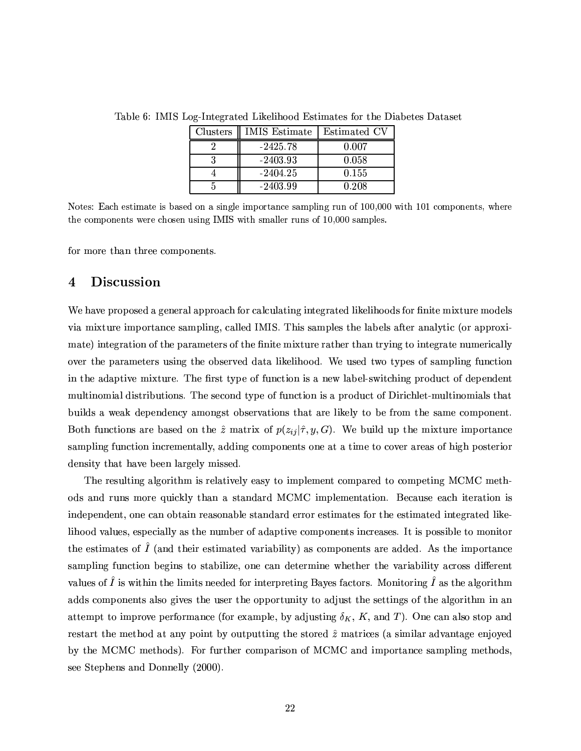| Clusters | <b>IMIS</b> Estimate | Estimated CV |
|----------|----------------------|--------------|
|          | $-2425.78$           | 0.007        |
|          | $-2403.93$           | 0.058        |
|          | $-2404.25$           | 0.155        |
|          | $-2403.99$           | 0.208        |

Table 6: IMIS Log-Integrated Likelihood Estimates for the Diabetes Dataset

Notes: Each estimate is based on a single importance sampling run of 100,000 with 101 components, where the components were chosen using IMIS with smaller runs of 10,000 samples.

for more than three components.

#### $\overline{\mathbf{4}}$ **Discussion**

We have proposed a general approach for calculating integrated likelihoods for finite mixture models via mixture importance sampling, called IMIS. This samples the labels after analytic (or approximate) integration of the parameters of the finite mixture rather than trying to integrate numerically over the parameters using the observed data likelihood. We used two types of sampling function in the adaptive mixture. The first type of function is a new label-switching product of dependent multinomial distributions. The second type of function is a product of Dirichlet-multinomials that builds a weak dependency amongst observations that are likely to be from the same component. Both functions are based on the  $\hat{z}$  matrix of  $p(z_{ij}|\hat{\tau}, y, G)$ . We build up the mixture importance sampling function incrementally, adding components one at a time to cover areas of high posterior density that have been largely missed.

The resulting algorithm is relatively easy to implement compared to competing MCMC methods and runs more quickly than a standard MCMC implementation. Because each iteration is independent, one can obtain reasonable standard error estimates for the estimated integrated likelihood values, especially as the number of adaptive components increases. It is possible to monitor the estimates of  $\hat{I}$  (and their estimated variability) as components are added. As the importance sampling function begins to stabilize, one can determine whether the variability across different values of  $\hat{I}$  is within the limits needed for interpreting Bayes factors. Monitoring  $\hat{I}$  as the algorithm adds components also gives the user the opportunity to adjust the settings of the algorithm in an attempt to improve performance (for example, by adjusting  $\delta_K$ , K, and T). One can also stop and restart the method at any point by outputting the stored  $\hat{z}$  matrices (a similar advantage enjoyed by the MCMC methods). For further comparison of MCMC and importance sampling methods. see Stephens and Donnelly (2000).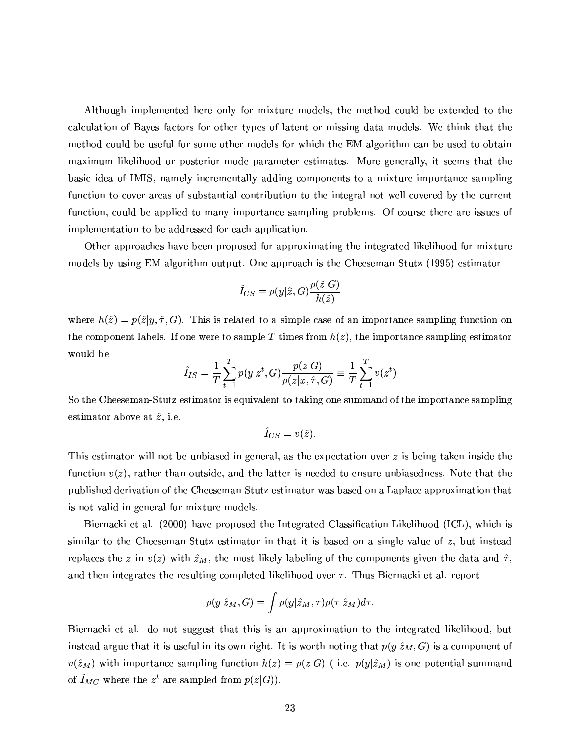Although implemented here only for mixture models, the method could be extended to the calculation of Bayes factors for other types of latent or missing data models. We think that the method could be useful for some other models for which the EM algorithm can be used to obtain maximum likelihood or posterior mode parameter estimates. More generally, it seems that the basic idea of IMIS, namely incrementally adding components to a mixture importance sampling function to cover areas of substantial contribution to the integral not well covered by the current function, could be applied to many importance sampling problems. Of course there are issues of implementation to be addressed for each application.

Other approaches have been proposed for approximating the integrated likelihood for mixture models by using EM algorithm output. One approach is the Cheeseman-Stutz (1995) estimator

$$
\hat{I}_{CS}=p(y|\hat{z},G)\frac{p(\hat{z}|G)}{h(\hat{z})}
$$

where  $h(\hat{z}) = p(\hat{z}|y, \hat{\tau}, G)$ . This is related to a simple case of an importance sampling function on the component labels. If one were to sample T times from  $h(z)$ , the importance sampling estimator would be

$$
\hat{I}_{IS} = \frac{1}{T} \sum_{t=1}^{T} p(y|z^t, G) \frac{p(z|G)}{p(z|x, \hat{\tau}, G)} \equiv \frac{1}{T} \sum_{t=1}^{T} v(z^t)
$$

So the Cheeseman-Stutz estimator is equivalent to taking one summand of the importance sampling estimator above at  $\hat{z}$ , i.e.

$$
\hat I_{CS}=v(\hat z).
$$

This estimator will not be unbiased in general, as the expectation over  $z$  is being taken inside the function  $v(z)$ , rather than outside, and the latter is needed to ensure unbiasedness. Note that the published derivation of the Cheeseman-Stutz estimator was based on a Laplace approximation that is not valid in general for mixture models.

Biernacki et al. (2000) have proposed the Integrated Classification Likelihood (ICL), which is similar to the Cheeseman-Stutz estimator in that it is based on a single value of z, but instead replaces the z in  $v(z)$  with  $\hat{z}_M$ , the most likely labeling of the components given the data and  $\hat{\tau}$ , and then integrates the resulting completed likelihood over  $\tau$ . Thus Biernacki et al. report

$$
p(y|\hat{z}_M,G) = \int p(y|\hat{z}_M,\tau) p(\tau|\hat{z}_M) d\tau.
$$

Biernacki et al. do not suggest that this is an approximation to the integrated likelihood, but instead argue that it is useful in its own right. It is worth noting that  $p(y|\hat{z}_M, G)$  is a component of  $v(\hat{z}_M)$  with importance sampling function  $h(z) = p(z|G)$  (i.e.  $p(y|\hat{z}_M)$  is one potential summand of  $\hat{I}_{MC}$  where the  $z^t$  are sampled from  $p(z|G)$ .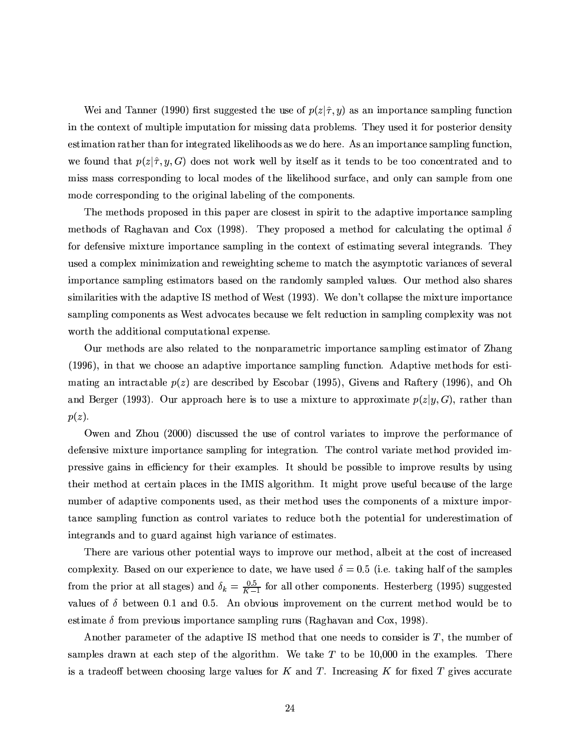Wei and Tanner (1990) first suggested the use of  $p(z|\hat{\tau}, y)$  as an importance sampling function in the context of multiple imputation for missing data problems. They used it for posterior density estimation rather than for integrated likelihoods as we do here. As an importance sampling function. we found that  $p(z|\hat{\tau}, y, G)$  does not work well by itself as it tends to be too concentrated and to miss mass corresponding to local modes of the likelihood surface, and only can sample from one mode corresponding to the original labeling of the components.

The methods proposed in this paper are closest in spirit to the adaptive importance sampling methods of Raghavan and Cox (1998). They proposed a method for calculating the optimal  $\delta$ for defensive mixture importance sampling in the context of estimating several integrands. They used a complex minimization and reweighting scheme to match the asymptotic variances of several importance sampling estimators based on the randomly sampled values. Our method also shares similarities with the adaptive IS method of West (1993). We don't collapse the mixture importance sampling components as West advocates because we felt reduction in sampling complexity was not worth the additional computational expense.

Our methods are also related to the nonparametric importance sampling estimator of Zhang (1996), in that we choose an adaptive importance sampling function. Adaptive methods for estimating an intractable  $p(z)$  are described by Escobar (1995), Givens and Raftery (1996), and Oh and Berger (1993). Our approach here is to use a mixture to approximate  $p(z|y, G)$ , rather than  $p(z)$ .

Owen and Zhou (2000) discussed the use of control variates to improve the performance of defensive mixture importance sampling for integration. The control variate method provided impressive gains in efficiency for their examples. It should be possible to improve results by using their method at certain places in the IMIS algorithm. It might prove useful because of the large number of adaptive components used, as their method uses the components of a mixture importance sampling function as control variates to reduce both the potential for underestimation of integrands and to guard against high variance of estimates.

There are various other potential ways to improve our method, albeit at the cost of increased complexity. Based on our experience to date, we have used  $\delta = 0.5$  (i.e. taking half of the samples from the prior at all stages) and  $\delta_k = \frac{0.5}{K-1}$  for all other components. Hesterberg (1995) suggested values of  $\delta$  between 0.1 and 0.5. An obvious improvement on the current method would be to estimate  $\delta$  from previous importance sampling runs (Raghavan and Cox, 1998).

Another parameter of the adaptive IS method that one needs to consider is  $T$ , the number of samples drawn at each step of the algorithm. We take  $T$  to be 10,000 in the examples. There is a tradeoff between choosing large values for  $K$  and  $T$ . Increasing  $K$  for fixed  $T$  gives accurate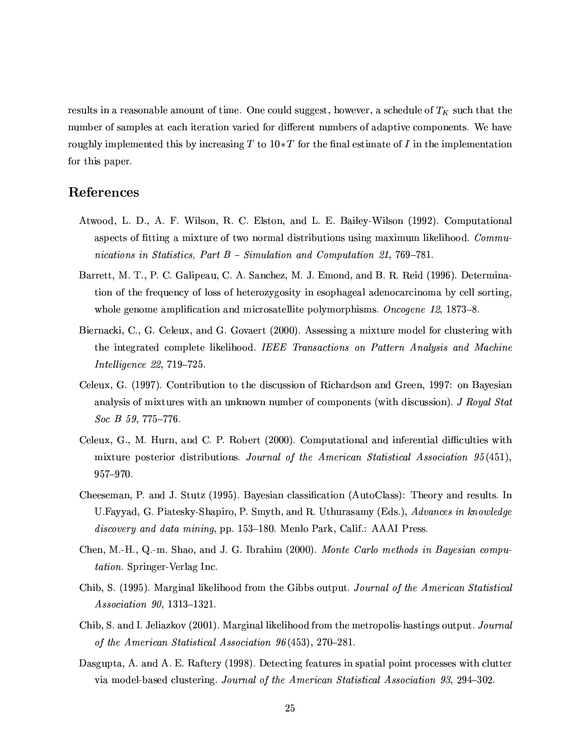results in a reasonable amount of time. One could suggest, however, a schedule of  $T_K$  such that the number of samples at each iteration varied for different numbers of adaptive components. We have roughly implemented this by increasing T to  $10*T$  for the final estimate of I in the implementation for this paper.

## References

- Atwood, L. D., A. F. Wilson, R. C. Elston, and L. E. Bailey-Wilson (1992). Computational aspects of fitting a mixture of two normal distributions using maximum likelihood. Communications in Statistics, Part  $B$  – Simulation and Computation 21, 769–781.
- Barrett, M. T., P. C. Galipeau, C. A. Sanchez, M. J. Emond, and B. R. Reid (1996). Determination of the frequency of loss of heterozygosity in esophageal adenocarcinoma by cell sorting. whole genome amplification and microsatellite polymorphisms. Oncogene 12, 1873–8.
- Biernacki, C., G. Celeux, and G. Govaert (2000). Assessing a mixture model for clustering with the integrated complete likelihood. IEEE Transactions on Pattern Analysis and Machine Intelligence 22, 719-725.
- Celeux, G. (1997). Contribution to the discussion of Richardson and Green, 1997: on Bayesian analysis of mixtures with an unknown number of components (with discussion). J Royal Stat  $Soc$  B 59, 775-776.
- Celeux, G., M. Hurn, and C. P. Robert (2000). Computational and inferential difficulties with mixture posterior distributions. Journal of the American Statistical Association  $95(451)$ , 957-970.
- Cheeseman, P. and J. Stutz (1995). Bayesian classification (AutoClass): Theory and results. In U.Fayyad, G. Piatesky-Shapiro, P. Smyth, and R. Uthurasamy (Eds.), Advances in knowledge discovery and data mining, pp. 153–180. Menlo Park, Calif.: AAAI Press.
- Chen, M.-H., Q.-m. Shao, and J. G. Ibrahim (2000). Monte Carlo methods in Bayesian compu*tation*. Springer-Verlag Inc.
- Chib, S. (1995). Marginal likelihood from the Gibbs output. Journal of the American Statistical *Association 90, 1313-1321.*
- Chib, S. and I. Jeliazkov (2001). Marginal likelihood from the metropolis-hastings output. Journal of the American Statistical Association  $96(453)$ , 270-281.
- Dasgupta, A. and A. E. Raftery (1998). Detecting features in spatial point processes with clutter via model-based clustering. Journal of the American Statistical Association 93, 294–302.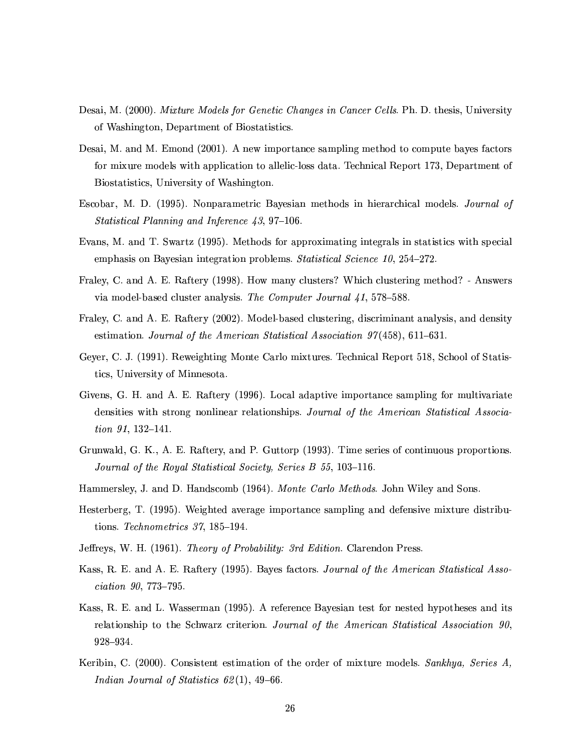- Desai, M. (2000). Mixture Models for Genetic Changes in Cancer Cells. Ph. D. thesis, University of Washington, Department of Biostatistics.
- Desai, M. and M. Emond (2001). A new importance sampling method to compute bayes factors for mixure models with application to allelic-loss data. Technical Report 173, Department of Biostatistics, University of Washington.
- Escobar, M. D. (1995). Nonparametric Bayesian methods in hierarchical models. Journal of *Statistical Planning and Inference 43, 97-106.*
- Evans, M. and T. Swartz (1995). Methods for approximating integrals in statistics with special emphasis on Bayesian integration problems. Statistical Science 10, 254–272.
- Fraley, C. and A. E. Raftery (1998). How many clusters? Which clustering method? Answers via model-based cluster analysis. The Computer Journal 41, 578–588.
- Fraley, C. and A. E. Raftery (2002). Model-based clustering, discriminant analysis, and density estimation. Journal of the American Statistical Association  $97(458)$ , 611-631.
- Gever, C. J. (1991). Reweighting Monte Carlo mixtures. Technical Report 518, School of Statistics, University of Minnesota.
- Givens, G. H. and A. E. Raftery (1996). Local adaptive importance sampling for multivariate densities with strong nonlinear relationships. Journal of the American Statistical Association 91, 132-141.
- Grunwald, G. K., A. E. Raftery, and P. Guttorp (1993). Time series of continuous proportions. Journal of the Royal Statistical Society, Series B 55, 103-116.
- Hammersley, J. and D. Handscomb (1964). Monte Carlo Methods. John Wiley and Sons.
- Hesterberg, T. (1995). Weighted average importance sampling and defensive mixture distributions. Technometrics  $37, 185-194$ .
- Jeffreys, W. H. (1961). Theory of Probability: 3rd Edition. Clarendon Press.
- Kass, R. E. and A. E. Raftery (1995). Bayes factors. Journal of the American Statistical Asso $ciation$  90, 773-795.
- Kass, R. E. and L. Wasserman (1995). A reference Bayesian test for nested hypotheses and its relationship to the Schwarz criterion. Journal of the American Statistical Association 90,  $928 - 934.$
- Keribin, C. (2000). Consistent estimation of the order of mixture models. Sankhya, Series A. Indian Journal of Statistics  $62(1)$ , 49-66.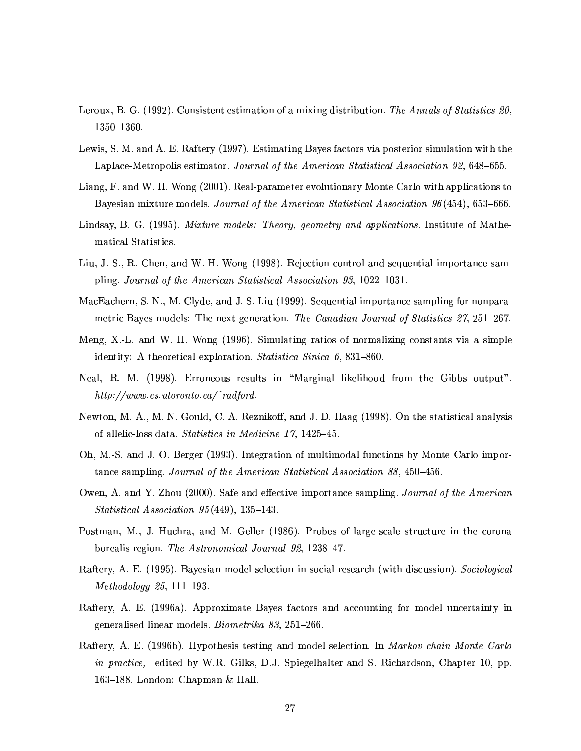- Leroux, B. G. (1992). Consistent estimation of a mixing distribution. The Annals of Statistics 20,  $1350 - 1360.$
- Lewis, S. M. and A. E. Raftery (1997). Estimating Bayes factors via posterior simulation with the Laplace-Metropolis estimator. Journal of the American Statistical Association 92, 648–655.
- Liang, F. and W. H. Wong (2001). Real-parameter evolutionary Monte Carlo with applications to Bayesian mixture models. Journal of the American Statistical Association 96(454), 653-666.
- Lindsay, B. G. (1995). Mixture models: Theory, geometry and applications. Institute of Mathematical Statistics.
- Liu, J. S., R. Chen, and W. H. Wong (1998). Rejection control and sequential importance sampling. Journal of the American Statistical Association 93, 1022-1031.
- MacEachern, S. N., M. Clyde, and J. S. Liu (1999). Sequential importance sampling for nonparametric Bayes models: The next generation. The Canadian Journal of Statistics 27, 251-267.
- Meng, X.-L. and W. H. Wong (1996). Simulating ratios of normalizing constants via a simple identity: A theoretical exploration. Statistica Sinica 6, 831-860.
- Neal, R. M. (1998). Erroneous results in "Marginal likelihood from the Gibbs output".  $http://www.cs.utoronto.ca/~radford.$
- Newton, M. A., M. N. Gould, C. A. Reznikoff, and J. D. Haag (1998). On the statistical analysis of allelic-loss data. Statistics in Medicine 17, 1425-45.
- Oh, M.-S. and J. O. Berger (1993). Integration of multimodal functions by Monte Carlo importance sampling. Journal of the American Statistical Association 88, 450–456.
- Owen, A. and Y. Zhou (2000). Safe and effective importance sampling. Journal of the American Statistical Association 95(449), 135-143.
- Postman, M., J. Huchra, and M. Geller (1986). Probes of large-scale structure in the corona borealis region. The Astronomical Journal 92, 1238-47.
- Raftery, A. E. (1995). Bayesian model selection in social research (with discussion). Sociological  $Methodology 25, 111-193.$
- Raftery, A. E. (1996a). Approximate Bayes factors and accounting for model uncertainty in generalised linear models. Biometrika 83, 251-266.
- Raftery, A. E. (1996b). Hypothesis testing and model selection. In Markov chain Monte Carlo *in practice*, edited by W.R. Gilks, D.J. Spiegelhalter and S. Richardson, Chapter 10, pp. 163–188. London: Chapman & Hall.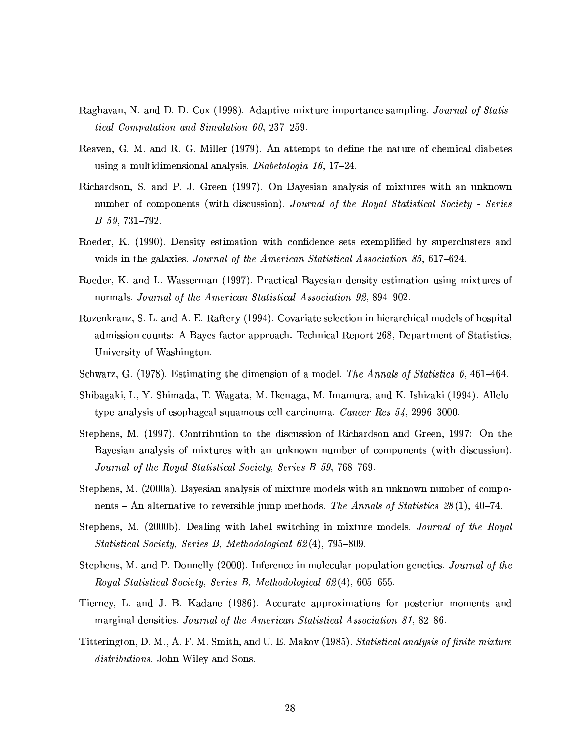- Raghavan, N. and D. D. Cox (1998). Adaptive mixture importance sampling. Journal of Statis*tical Computation and Simulation 60, 237-259.*
- Reaven, G. M. and R. G. Miller (1979). An attempt to define the nature of chemical diabetes using a multidimensional analysis. Diabetologia 16, 17-24.
- Richardson, S. and P. J. Green (1997). On Bayesian analysis of mixtures with an unknown number of components (with discussion). Journal of the Royal Statistical Society - Series  $B$  59, 731-792.
- Roeder, K. (1990). Density estimation with confidence sets exemplified by superclusters and voids in the galaxies. Journal of the American Statistical Association 85, 617–624.
- Roeder, K. and L. Wasserman (1997). Practical Bayesian density estimation using mixtures of normals. Journal of the American Statistical Association 92, 894-902.
- Rozenkranz, S. L. and A. E. Raftery (1994). Covariate selection in hierarchical models of hospital admission counts: A Bayes factor approach. Technical Report 268, Department of Statistics, University of Washington.
- Schwarz, G. (1978). Estimating the dimension of a model. The Annals of Statistics 6, 461–464.
- Shibagaki, I., Y. Shimada, T. Wagata, M. Ikenaga, M. Imamura, and K. Ishizaki (1994). Allelotype analysis of esophageal squamous cell carcinoma. Cancer Res  $54$ , 2996-3000.
- Stephens, M. (1997). Contribution to the discussion of Richardson and Green, 1997: On the Bayesian analysis of mixtures with an unknown number of components (with discussion). Journal of the Royal Statistical Society, Series B 59, 768–769.
- Stephens, M. (2000a). Bayesian analysis of mixture models with an unknown number of components – An alternative to reversible jump methods. The Annals of Statistics 28(1), 40–74.
- Stephens, M. (2000b). Dealing with label switching in mixture models. Journal of the Royal Statistical Society, Series B, Methodological 62(4), 795-809.
- Stephens, M. and P. Donnelly (2000). Inference in molecular population genetics. Journal of the Royal Statistical Society, Series B, Methodological 62(4), 605-655.
- Tierney, L. and J. B. Kadane (1986). Accurate approximations for posterior moments and marginal densities. Journal of the American Statistical Association 81, 82-86.
- Titterington, D. M., A. F. M. Smith, and U. E. Makov (1985). Statistical analysis of finite mixture distributions. John Wiley and Sons.